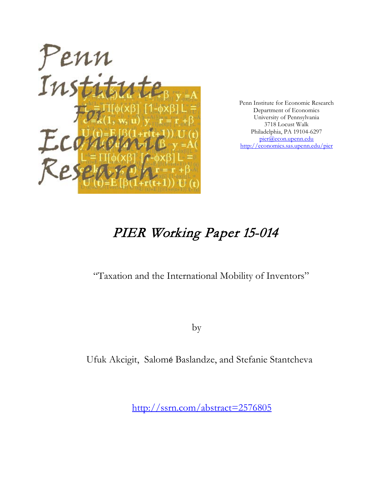

Penn Institute for Economic Research Department of Economics University of Pennsylvania 3718 Locust Walk Philadelphia, PA 19104-6297 [pier@econ.upenn.edu](mailto:pier@econ.upenn.edu) <http://economics.sas.upenn.edu/pier>

# PIER Working Paper 15-014

"Taxation and the International Mobility of Inventors"

by

Ufuk Akcigit, Salomé Baslandze, and Stefanie Stantcheva

[http://ssrn.com/abstract=2](http://ssrn.com/abstract_id=)576805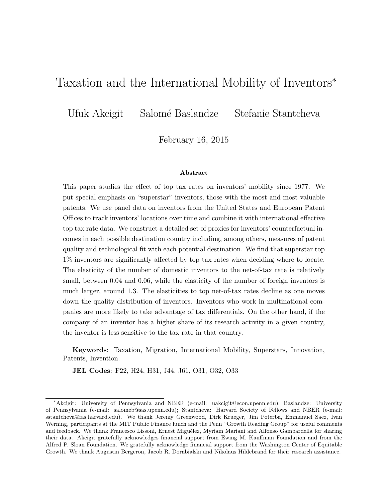## <span id="page-1-0"></span>Taxation and the International Mobility of Inventors<sup>∗</sup>

Ufuk Akcigit Salomé Baslandze Stefanie Stantcheva

February 16, 2015

#### Abstract

This paper studies the effect of top tax rates on inventors' mobility since 1977. We put special emphasis on "superstar" inventors, those with the most and most valuable patents. We use panel data on inventors from the United States and European Patent Offices to track inventors' locations over time and combine it with international effective top tax rate data. We construct a detailed set of proxies for inventors' counterfactual incomes in each possible destination country including, among others, measures of patent quality and technological fit with each potential destination. We find that superstar top 1% inventors are significantly affected by top tax rates when deciding where to locate. The elasticity of the number of domestic inventors to the net-of-tax rate is relatively small, between 0.04 and 0.06, while the elasticity of the number of foreign inventors is much larger, around 1.3. The elasticities to top net-of-tax rates decline as one moves down the quality distribution of inventors. Inventors who work in multinational companies are more likely to take advantage of tax differentials. On the other hand, if the company of an inventor has a higher share of its research activity in a given country, the inventor is less sensitive to the tax rate in that country.

Keywords: Taxation, Migration, International Mobility, Superstars, Innovation, Patents, Invention.

JEL Codes: F22, H24, H31, J44, J61, O31, O32, O33

<sup>∗</sup>Akcigit: University of Pennsylvania and NBER (e-mail: uakcigit@econ.upenn.edu); Baslandze: University of Pennsylvania (e-mail: salomeb@sas.upenn.edu); Stantcheva: Harvard Society of Fellows and NBER (e-mail: sstantcheva@fas.harvard.edu). We thank Jeremy Greenwood, Dirk Krueger, Jim Poterba, Emmanuel Saez, Ivan Werning, participants at the MIT Public Finance lunch and the Penn "Growth Reading Group" for useful comments and feedback. We thank Francesco Lissoni, Ernest Miguélez, Myriam Mariani and Alfonso Gambardella for sharing their data. Akcigit gratefully acknowledges financial support from Ewing M. Kauffman Foundation and from the Alfred P. Sloan Foundation. We gratefully acknowledge financial support from the Washington Center of Equitable Growth. We thank Augustin Bergeron, Jacob R. Dorabialski and Nikolaus Hildebrand for their research assistance.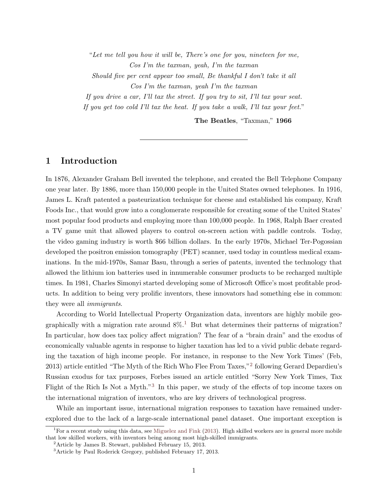"Let me tell you how it will be, There's one for you, nineteen for me, Cos I'm the taxman, yeah, I'm the taxman

Should five per cent appear too small, Be thankful I don't take it all

Cos I'm the taxman, yeah I'm the taxman

If you drive a car, I'll tax the street. If you try to sit, I'll tax your seat.

If you get too cold I'll tax the heat. If you take a walk, I'll tax your feet."

The Beatles, "Taxman," 1966

## 1 Introduction

In 1876, Alexander Graham Bell invented the telephone, and created the Bell Telephone Company one year later. By 1886, more than 150,000 people in the United States owned telephones. In 1916, James L. Kraft patented a pasteurization technique for cheese and established his company, Kraft Foods Inc., that would grow into a conglomerate responsible for creating some of the United States' most popular food products and employing more than 100,000 people. In 1968, Ralph Baer created a TV game unit that allowed players to control on-screen action with paddle controls. Today, the video gaming industry is worth \$66 billion dollars. In the early 1970s, Michael Ter-Pogossian developed the positron emission tomography (PET) scanner, used today in countless medical examinations. In the mid-1970s, Samar Basu, through a series of patents, invented the technology that allowed the lithium ion batteries used in innumerable consumer products to be recharged multiple times. In 1981, Charles Simonyi started developing some of Microsoft Office's most profitable products. In addition to being very prolific inventors, these innovators had something else in common: they were all immigrants.

According to World Intellectual Property Organization data, inventors are highly mobile geographically with a migration rate around  $8\%$ <sup>[1](#page-1-0)</sup> But what determines their patterns of migration? In particular, how does tax policy affect migration? The fear of a "brain drain" and the exodus of economically valuable agents in response to higher taxation has led to a vivid public debate regarding the taxation of high income people. For instance, in response to the New York Times' (Feb, 2013) article entitled "The Myth of the Rich Who Flee From Taxes,"[2](#page-1-0) following Gerard Depardieu's Russian exodus for tax purposes, Forbes issued an article entitled "Sorry New York Times, Tax Flight of the Rich Is Not a Myth."<sup>[3](#page-1-0)</sup> In this paper, we study of the effects of top income taxes on the international migration of inventors, who are key drivers of technological progress.

While an important issue, international migration responses to taxation have remained underexplored due to the lack of a large-scale international panel dataset. One important exception is

<sup>&</sup>lt;sup>1</sup>For a recent study using this data, see [Miguelez and Fink](#page-38-0) [\(2013\)](#page-38-0). High skilled workers are in general more mobile that low skilled workers, with inventors being among most high-skilled immigrants.

<sup>2</sup>Article by James B. Stewart, published February 15, 2013.

<sup>3</sup>Article by Paul Roderick Gregory, published February 17, 2013.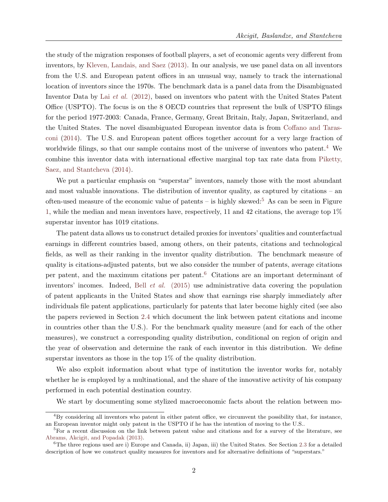the study of the migration responses of football players, a set of economic agents very different from inventors, by [Kleven, Landais, and Saez \(2013\).](#page-37-0) In our analysis, we use panel data on all inventors from the U.S. and European patent offices in an unusual way, namely to track the international location of inventors since the 1970s. The benchmark data is a panel data from the Disambiguated Inventor Data by Lai et al. [\(2012\),](#page-38-1) based on inventors who patent with the United States Patent Office (USPTO). The focus is on the 8 OECD countries that represent the bulk of USPTO filings for the period 1977-2003: Canada, France, Germany, Great Britain, Italy, Japan, Switzerland, and the United States. The novel disambiguated European inventor data is from [Coffano and Taras](#page-37-1)[coni](#page-37-1) [\(2014\)](#page-37-1). The U.S. and European patent offices together account for a very large fraction of worldwide filings, so that our sample contains most of the universe of inventors who patent.<sup>[4](#page-1-0)</sup> We combine this inventor data with international effective marginal top tax rate data from [Piketty,](#page-38-2) [Saez, and Stantcheva \(2014\).](#page-38-2)

We put a particular emphasis on "superstar" inventors, namely those with the most abundant and most valuable innovations. The distribution of inventor quality, as captured by citations – an often-used measure of the economic value of patents – is highly skewed:<sup>[5](#page-1-0)</sup> As can be seen in Figure [1,](#page-4-0) while the median and mean inventors have, respectively, 11 and 42 citations, the average top 1% superstar inventor has 1019 citations.

The patent data allows us to construct detailed proxies for inventors' qualities and counterfactual earnings in different countries based, among others, on their patents, citations and technological fields, as well as their ranking in the inventor quality distribution. The benchmark measure of quality is citations-adjusted patents, but we also consider the number of patents, average citations per patent, and the maximum citations per patent.[6](#page-1-0) Citations are an important determinant of inventors' incomes. Indeed, Bell et al. [\(2015\)](#page-36-0) use administrative data covering the population of patent applicants in the United States and show that earnings rise sharply immediately after individuals file patent applications, particularly for patents that later become highly cited (see also the papers reviewed in Section [2.4](#page-12-0) which document the link between patent citations and income in countries other than the U.S.). For the benchmark quality measure (and for each of the other measures), we construct a corresponding quality distribution, conditional on region of origin and the year of observation and determine the rank of each inventor in this distribution. We define superstar inventors as those in the top  $1\%$  of the quality distribution.

We also exploit information about what type of institution the inventor works for, notably whether he is employed by a multinational, and the share of the innovative activity of his company performed in each potential destination country.

We start by documenting some stylized macroeconomic facts about the relation between mo-

<sup>4</sup>By considering all inventors who patent in either patent office, we circumvent the possibility that, for instance, an European inventor might only patent in the USPTO if he has the intention of moving to the U.S..

<sup>&</sup>lt;sup>5</sup>For a recent discussion on the link between patent value and citations and for a survey of the literature, see [Abrams, Akcigit, and Popadak \(2013\).](#page-36-1)

<sup>&</sup>lt;sup>6</sup>The three regions used are i) Europe and Canada, ii) Japan, iii) the United States. See Section [2.3](#page-9-0) for a detailed description of how we construct quality measures for inventors and for alternative definitions of "superstars."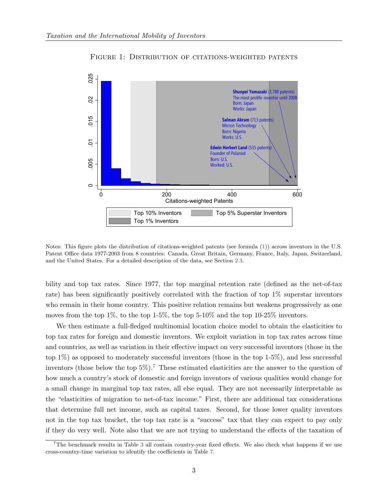<span id="page-4-0"></span>

#### Figure 1: Distribution of citations-weighted patents

Notes: This figure plots the distribution of citations-weighted patents (see formula [\(1\)](#page-11-0)) across inventors in the U.S. Patent Office data 1977-2003 from 8 countries: Canada, Great Britain, Germany, France, Italy, Japan, Switzerland, and the United States. For a detailed description of the data, see Section [2.3.](#page-9-0)

bility and top tax rates. Since 1977, the top marginal retention rate (defined as the net-of-tax rate) has been significantly positively correlated with the fraction of top 1% superstar inventors who remain in their home country. This positive relation remains but weakens progressively as one moves from the top  $1\%$ , to the top  $1-5\%$ , the top  $5-10\%$  and the top  $10-25\%$  inventors.

We then estimate a full-fledged multinomial location choice model to obtain the elasticities to top tax rates for foreign and domestic inventors. We exploit variation in top tax rates across time and countries, as well as variation in their effective impact on very successful inventors (those in the top 1%) as opposed to moderately successful inventors (those in the top 1-5%), and less successful inventors (those below the top  $5\%$ ).<sup>[7](#page-1-0)</sup> These estimated elasticities are the answer to the question of how much a country's stock of domestic and foreign inventors of various qualities would change for a small change in marginal top tax rates, all else equal. They are not necessarily interpretable as the "elasticities of migration to net-of-tax income." First, there are additional tax considerations that determine full net income, such as capital taxes. Second, for those lower quality inventors not in the top tax bracket, the top tax rate is a "success" tax that they can expect to pay only if they do very well. Note also that we are not trying to understand the effects of the taxation of

<sup>7</sup>The benchmark results in Table [3](#page-24-0) all contain country-year fixed effects. We also check what happens if we use cross-country-time variation to identify the coefficients in Table [7.](#page-29-0)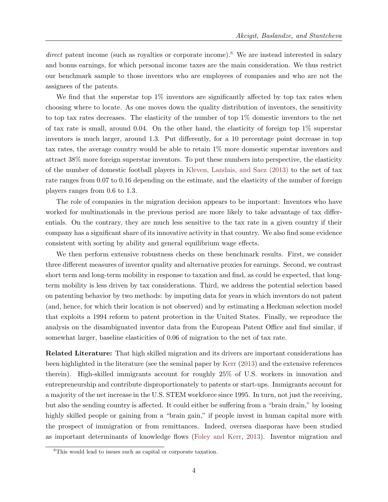direct patent income (such as royalties or corporate income).<sup>[8](#page-1-0)</sup> We are instead interested in salary and bonus earnings, for which personal income taxes are the main consideration. We thus restrict our benchmark sample to those inventors who are employees of companies and who are not the assignees of the patents.

We find that the superstar top  $1\%$  inventors are significantly affected by top tax rates when choosing where to locate. As one moves down the quality distribution of inventors, the sensitivity to top tax rates decreases. The elasticity of the number of top 1% domestic inventors to the net of tax rate is small, around 0.04. On the other hand, the elasticity of foreign top  $1\%$  superstar inventors is much larger, around 1.3. Put differently, for a 10 percentage point decrease in top tax rates, the average country would be able to retain 1% more domestic superstar inventors and attract 38% more foreign superstar inventors. To put these numbers into perspective, the elasticity of the number of domestic football players in [Kleven, Landais, and Saez \(2013\)](#page-37-0) to the net of tax rate ranges from 0.07 to 0.16 depending on the estimate, and the elasticity of the number of foreign players ranges from 0.6 to 1.3.

The role of companies in the migration decision appears to be important: Inventors who have worked for multinationals in the previous period are more likely to take advantage of tax differentials. On the contrary, they are much less sensitive to the tax rate in a given country if their company has a significant share of its innovative activity in that country. We also find some evidence consistent with sorting by ability and general equilibrium wage effects.

We then perform extensive robustness checks on these benchmark results. First, we consider three different measures of inventor quality and alternative proxies for earnings. Second, we contrast short term and long-term mobility in response to taxation and find, as could be expected, that longterm mobility is less driven by tax considerations. Third, we address the potential selection based on patenting behavior by two methods: by imputing data for years in which inventors do not patent (and, hence, for which their location is not observed) and by estimating a Heckman selection model that exploits a 1994 reform to patent protection in the United States. Finally, we reproduce the analysis on the disambiguated inventor data from the European Patent Office and find similar, if somewhat larger, baseline elasticities of 0.06 of migration to the net of tax rate.

Related Literature: That high skilled migration and its drivers are important considerations has been highlighted in the literature (see the seminal paper by [Kerr](#page-37-2) [\(2013\)](#page-37-2) and the extensive references therein). High-skilled immigrants account for roughly 25% of U.S. workers in innovation and entrepreneurship and contribute disproportionately to patents or start-ups. Immigrants account for a majority of the net increase in the U.S. STEM workforce since 1995. In turn, not just the receiving, but also the sending country is affected. It could either be suffering from a "brain drain," by loosing highly skilled people or gaining from a "brain gain," if people invest in human capital more with the prospect of immigration or from remittances. Indeed, oversea diasporas have been studied as important determinants of knowledge flows [\(Foley and Kerr,](#page-37-3) [2013\)](#page-37-3). Inventor migration and

<sup>8</sup>This would lead to issues such as capital or corporate taxation.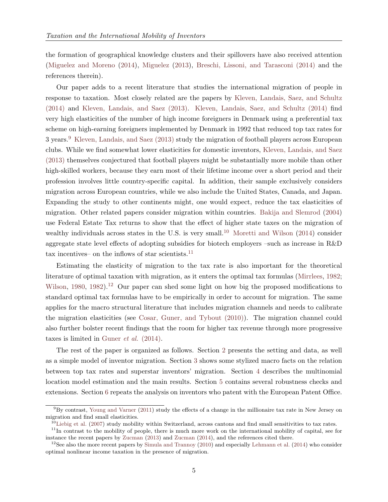the formation of geographical knowledge clusters and their spillovers have also received attention [\(Miguelez and Moreno](#page-38-3) [\(2014\)](#page-38-3), [Miguelez](#page-38-4) [\(2013\)](#page-38-4), [Breschi, Lissoni, and Tarasconi \(2014\)](#page-37-4) and the references therein).

Our paper adds to a recent literature that studies the international migration of people in response to taxation. Most closely related are the papers by [Kleven, Landais, Saez, and Schultz](#page-37-5) [\(2014\)](#page-37-5) and [Kleven, Landais, and Saez \(2013\).](#page-37-0) [Kleven, Landais, Saez, and Schultz \(2014\)](#page-37-5) find very high elasticities of the number of high income foreigners in Denmark using a preferential tax scheme on high-earning foreigners implemented by Denmark in 1992 that reduced top tax rates for 3 years.[9](#page-1-0) [Kleven, Landais, and Saez \(2013\)](#page-37-0) study the migration of football players across European clubs. While we find somewhat lower elasticities for domestic inventors, [Kleven, Landais, and Saez](#page-37-0) [\(2013\)](#page-37-0) themselves conjectured that football players might be substantially more mobile than other high-skilled workers, because they earn most of their lifetime income over a short period and their profession involves little country-specific capital. In addition, their sample exclusively considers migration across European countries, while we also include the United States, Canada, and Japan. Expanding the study to other continents might, one would expect, reduce the tax elasticities of migration. Other related papers consider migration within countries. [Bakija and Slemrod](#page-36-2) [\(2004\)](#page-36-2) use Federal Estate Tax returns to show that the effect of higher state taxes on the migration of wealthy individuals across states in the U.S. is very small.<sup>[10](#page-1-0)</sup> [Moretti and Wilson](#page-38-5)  $(2014)$  consider aggregate state level effects of adopting subsidies for biotech employers –such as increase in R&D tax incentives– on the inflows of star scientists. $^{11}$  $^{11}$  $^{11}$ 

Estimating the elasticity of migration to the tax rate is also important for the theoretical literature of optimal taxation with migration, as it enters the optimal tax formulas [\(Mirrlees,](#page-38-6) [1982;](#page-38-6) [Wilson,](#page-38-7) [1980,](#page-38-7) [1982\)](#page-38-8).<sup>[12](#page-1-0)</sup> Our paper can shed some light on how big the proposed modifications to standard optimal tax formulas have to be empirically in order to account for migration. The same applies for the macro structural literature that includes migration channels and needs to calibrate the migration elasticities (see [Cosar, Guner, and Tybout \(2010\)\)](#page-37-6). The migration channel could also further bolster recent findings that the room for higher tax revenue through more progressive taxes is limited in Guner et al. [\(2014\).](#page-37-7)

The rest of the paper is organized as follows. Section [2](#page-7-0) presents the setting and data, as well as a simple model of inventor migration. Section [3](#page-16-0) shows some stylized macro facts on the relation between top tax rates and superstar inventors' migration. Section [4](#page-20-0) describes the multinomial location model estimation and the main results. Section [5](#page-28-0) contains several robustness checks and extensions. Section [6](#page-34-0) repeats the analysis on inventors who patent with the European Patent Office.

 $9By$  contrast, [Young and Varner](#page-38-9) [\(2011\)](#page-38-9) study the effects of a change in the millionaire tax rate in New Jersey on migration and find small elasticities.

 $^{10}$ [Liebig et al.](#page-38-10) [\(2007\)](#page-38-10) study mobility within Switzerland, across cantons and find small sensitivities to tax rates.

<sup>&</sup>lt;sup>11</sup>In contrast to the mobility of people, there is much more work on the international mobility of capital, see for instance the recent papers by [Zucman](#page-38-11) [\(2013\)](#page-38-11) and [Zucman](#page-38-12) [\(2014\)](#page-38-12), and the references cited there.

<sup>&</sup>lt;sup>12</sup>See also the more recent papers by [Simula and Trannoy](#page-38-13) [\(2010\)](#page-38-13) and especially [Lehmann et al.](#page-38-14) [\(2014\)](#page-38-14) who consider optimal nonlinear income taxation in the presence of migration.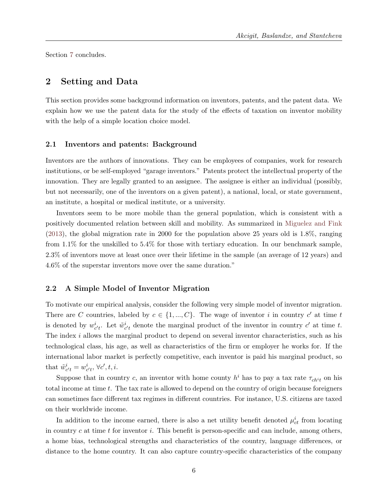Section [7](#page-35-0) concludes.

## <span id="page-7-0"></span>2 Setting and Data

This section provides some background information on inventors, patents, and the patent data. We explain how we use the patent data for the study of the effects of taxation on inventor mobility with the help of a simple location choice model.

#### 2.1 Inventors and patents: Background

Inventors are the authors of innovations. They can be employees of companies, work for research institutions, or be self-employed "garage inventors." Patents protect the intellectual property of the innovation. They are legally granted to an assignee. The assignee is either an individual (possibly, but not necessarily, one of the inventors on a given patent), a national, local, or state government, an institute, a hospital or medical institute, or a university.

Inventors seem to be more mobile than the general population, which is consistent with a positively documented relation between skill and mobility. As summarized in [Miguelez and Fink](#page-38-0) [\(2013\)](#page-38-0), the global migration rate in 2000 for the population above 25 years old is 1.8%, ranging from 1.1% for the unskilled to 5.4% for those with tertiary education. In our benchmark sample, 2.3% of inventors move at least once over their lifetime in the sample (an average of 12 years) and 4.6% of the superstar inventors move over the same duration."

#### <span id="page-7-1"></span>2.2 A Simple Model of Inventor Migration

To motivate our empirical analysis, consider the following very simple model of inventor migration. There are C countries, labeled by  $c \in \{1, ..., C\}$ . The wage of inventor i in country  $c'$  at time t is denoted by  $w_{c't}^i$ . Let  $\tilde{w}_{c't}^i$  denote the marginal product of the inventor in country  $c'$  at time t. The index i allows the marginal product to depend on several inventor characteristics, such as his technological class, his age, as well as characteristics of the firm or employer he works for. If the international labor market is perfectly competitive, each inventor is paid his marginal product, so that  $\tilde{w}_{c't}^i = w_{c't}^i, \forall c', t, i$ .

Suppose that in country c, an inventor with home county  $h^i$  has to pay a tax rate  $\tau_{ch^it}$  on his total income at time t. The tax rate is allowed to depend on the country of origin because foreigners can sometimes face different tax regimes in different countries. For instance, U.S. citizens are taxed on their worldwide income.

In addition to the income earned, there is also a net utility benefit denoted  $\mu_{ct}^{i}$  from locating in country  $c$  at time  $t$  for inventor  $i$ . This benefit is person-specific and can include, among others, a home bias, technological strengths and characteristics of the country, language differences, or distance to the home country. It can also capture country-specific characteristics of the company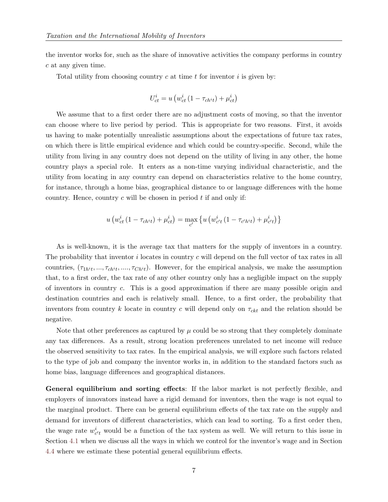the inventor works for, such as the share of innovative activities the company performs in country c at any given time.

Total utility from choosing country c at time t for inventor  $i$  is given by:

$$
U_{ct}^{i}=u\left(w_{ct}^{i}\left(1-\tau_{ch^{i}t}\right)+\mu_{ct}^{i}\right)
$$

We assume that to a first order there are no adjustment costs of moving, so that the inventor can choose where to live period by period. This is appropriate for two reasons. First, it avoids us having to make potentially unrealistic assumptions about the expectations of future tax rates, on which there is little empirical evidence and which could be country-specific. Second, while the utility from living in any country does not depend on the utility of living in any other, the home country plays a special role. It enters as a non-time varying individual characteristic, and the utility from locating in any country can depend on characteristics relative to the home country, for instance, through a home bias, geographical distance to or language differences with the home country. Hence, country  $c$  will be chosen in period  $t$  if and only if:

$$
u\left(w_{ct}^{i}\left(1-\tau_{ch^{i}t}\right)+\mu_{ct}^{i}\right)=\max_{c'}\left\{u\left(w_{c't}^{i}\left(1-\tau_{c'h^{i}t}\right)+\mu_{c't}^{i}\right)\right\}
$$

As is well-known, it is the average tax that matters for the supply of inventors in a country. The probability that inventor i locates in country c will depend on the full vector of tax rates in all countries,  $(\tau_{1h^{i}t},...,\tau_{ch^{i}t},...,\tau_{Ch^{i}t})$ . However, for the empirical analysis, we make the assumption that, to a first order, the tax rate of any other country only has a negligible impact on the supply of inventors in country c. This is a good approximation if there are many possible origin and destination countries and each is relatively small. Hence, to a first order, the probability that inventors from country k locate in country c will depend only on  $\tau_{ckt}$  and the relation should be negative.

Note that other preferences as captured by  $\mu$  could be so strong that they completely dominate any tax differences. As a result, strong location preferences unrelated to net income will reduce the observed sensitivity to tax rates. In the empirical analysis, we will explore such factors related to the type of job and company the inventor works in, in addition to the standard factors such as home bias, language differences and geographical distances.

General equilibrium and sorting effects: If the labor market is not perfectly flexible, and employers of innovators instead have a rigid demand for inventors, then the wage is not equal to the marginal product. There can be general equilibrium effects of the tax rate on the supply and demand for inventors of different characteristics, which can lead to sorting. To a first order then, the wage rate  $w_{c't}^i$  would be a function of the tax system as well. We will return to this issue in Section [4.1](#page-20-1) when we discuss all the ways in which we control for the inventor's wage and in Section [4.4](#page-28-1) where we estimate these potential general equilibrium effects.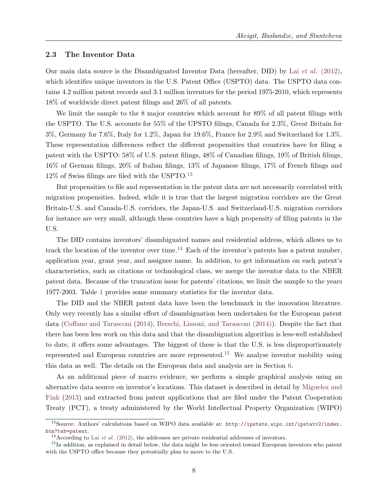#### <span id="page-9-0"></span>2.3 The Inventor Data

Our main data source is the Disambiguated Inventor Data (hereafter, DID) by Lai *et al.* [\(2012\),](#page-38-1) which identifies unique inventors in the U.S. Patent Office (USPTO) data. The USPTO data contains 4.2 million patent records and 3.1 million inventors for the period 1975-2010, which represents 18% of worldwide direct patent filings and 26% of all patents.

We limit the sample to the 8 major countries which account for  $89\%$  of all patent filings with the USPTO. The U.S. accounts for 55% of the UPSTO filings, Canada for 2.3%, Great Britain for 3%, Germany for 7.6%, Italy for 1.2%, Japan for 19.6%, France for 2.9% and Switzerland for 1.3%. These representation differences reflect the different propensities that countries have for filing a patent with the USPTO: 58% of U.S. patent filings, 48% of Canadian filings, 19% of British filings, 16% of German filings, 20% of Italian filings, 13% of Japanese filings, 17% of French filings and  $12\%$  of Swiss filings are filed with the USPTO.<sup>[13](#page-1-0)</sup>

But propensities to file and representation in the patent data are not necessarily correlated with migration propensities. Indeed, while it is true that the largest migration corridors are the Great Britain-U.S. and Canada-U.S. corridors, the Japan-U.S. and Switzerland-U.S. migration corridors for instance are very small, although these countries have a high propensity of filing patents in the U.S.

The DID contains inventors' disambiguated names and residential address, which allows us to track the location of the inventor over time.<sup>[14](#page-1-0)</sup> Each of the inventor's patents has a patent number, application year, grant year, and assignee name. In addition, to get information on each patent's characteristics, such as citations or technological class, we merge the inventor data to the NBER patent data. Because of the truncation issue for patents' citations, we limit the sample to the years 1977-2003. Table [1](#page-10-0) provides some summary statistics for the inventor data.

The DID and the NBER patent data have been the benchmark in the innovation literature. Only very recently has a similar effort of disambiguation been undertaken for the European patent data [\(Coffano and Tarasconi](#page-37-1) [\(2014\)](#page-37-1), [Breschi, Lissoni, and Tarasconi \(2014\)\)](#page-37-4). Despite the fact that there has been less work on this data and that the disambiguation algorithm is less-well established to date, it offers some advantages. The biggest of these is that the U.S. is less disproportionately represented and European countries are more represented.<sup>[15](#page-1-0)</sup> We analyse inventor mobility using this data as well. The details on the European data and analysis are in Section [6.](#page-34-0)

As an additional piece of macro evidence, we perform a simple graphical analysis using an alternative data source on inventor's locations. This dataset is described in detail by [Miguelez and](#page-38-0) [Fink](#page-38-0) [\(2013\)](#page-38-0) and extracted from patent applications that are filed under the Patent Cooperation Treaty (PCT), a treaty administered by the World Intellectual Property Organization (WIPO)

<sup>&</sup>lt;sup>13</sup>Source: Authors' calculations based on WIPO data available at: [http://ipstats.wipo.int/ipstatv2/index.](http://ipstats.wipo.int/ipstatv2/index.htm?tab=patent) [htm?tab=patent](http://ipstats.wipo.int/ipstatv2/index.htm?tab=patent).

 $14$ According to Lai *et al.* [\(2012\),](#page-38-1) the addresses are private residential addresses of inventors.

<sup>&</sup>lt;sup>15</sup>In addition, as explained in detail below, the data might be less oriented toward European inventors who patent with the USPTO office because they potentially plan to move to the U.S.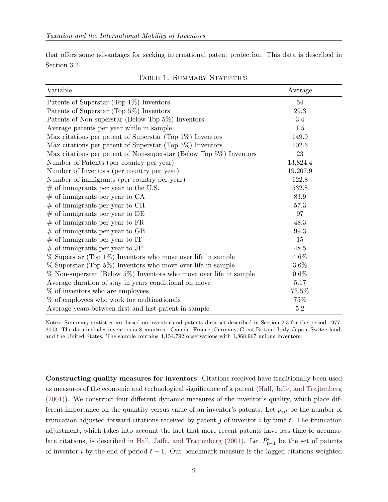<span id="page-10-0"></span>that offers some advantages for seeking international patent protection. This data is described in Section [3.2.](#page-17-0)

| Variable                                                               | Average  |
|------------------------------------------------------------------------|----------|
| Patents of Superstar (Top $1\%$ ) Inventors                            | 54       |
| Patents of Superstar (Top 5%) Inventors                                | 29.3     |
| Patents of Non-superstar (Below Top 5%) Inventors                      | 3.4      |
| Average patents per year while in sample                               | 1.5      |
| Max citations per patent of Superstar (Top $1\%$ ) Inventors           | 149.9    |
| Max citations per patent of Superstar (Top $5\%$ ) Inventors           | 102.6    |
| Max citations per patent of Non-superstar (Below Top $5\%$ ) Inventors | 23       |
| Number of Patents (per country per year)                               | 13,824.4 |
| Number of Inventors (per country per year)                             | 19,207.9 |
| Number of immigrants (per country per year)                            | 122.8    |
| $\#$ of immigrants per year to the U.S.                                | 532.8    |
| $#$ of immigrants per year to $CA$                                     | 83.9     |
| $#$ of immigrants per year to CH                                       | 57.3     |
| $#$ of immigrants per year to DE                                       | 97       |
| $#$ of immigrants per year to FR                                       | 48.3     |
| $#$ of immigrants per year to GB                                       | $99.3\,$ |
| $#$ of immigrants per year to IT                                       | 15       |
| $#$ of immigrants per year to JP                                       | $48.5\,$ |
| $\%$ Superstar (Top 1%) Inventors who move over life in sample         | 4.6%     |
| % Superstar (Top 5%) Inventors who move over life in sample            | $3.6\%$  |
| $\%$ Non-superstar (Below 5%) Inventors who move over life in sample   | $0.6\%$  |
| Average duration of stay in years conditional on move                  | 5.17     |
| % of inventors who are employees                                       | 73.5%    |
| % of employees who work for multinationals                             | 75%      |
| Average years between first and last patent in sample                  | $5.2\,$  |

|  |  | TABLE 1: SUMMARY STATISTICS |
|--|--|-----------------------------|
|--|--|-----------------------------|

Notes: Summary statistics are based on inventor and patents data set described in Section [2.3](#page-9-0) for the period 1977- 2003. The data includes inventors in 8 countries: Canada, France, Germany, Great Britain, Italy, Japan, Switzerland, and the United States. The sample contains 4,154,792 observations with 1,868,967 unique inventors.

Constructing quality measures for inventors: Citations received have traditionally been used as measures of the economic and technological significance of a patent [\(Hall, Jaffe, and Trajtenberg](#page-37-8) [\(2001\)\)](#page-37-8). We construct four different dynamic measures of the inventor's quality, which place different importance on the quantity versus value of an inventor's patents. Let  $p_{ijt}$  be the number of truncation-adjusted forward citations received by patent  $j$  of inventor  $i$  by time  $t$ . The truncation adjustment, which takes into account the fact that more recent patents have less time to accumu-late citations, is described in [Hall, Jaffe, and Trajtenberg \(2001\).](#page-37-8) Let  $P_{t-1}^i$  be the set of patents of inventor i by the end of period  $t - 1$ . Our benchmark measure is the lagged citations-weighted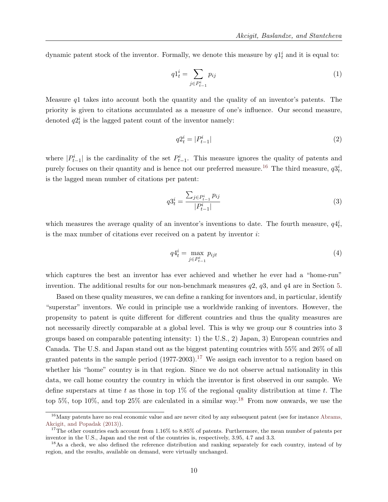dynamic patent stock of the inventor. Formally, we denote this measure by  $q1_t^i$  and it is equal to:

<span id="page-11-0"></span>
$$
q1_t^i = \sum_{j \in P_{t-1}^i} p_{ij} \tag{1}
$$

Measure  $q_1$  takes into account both the quantity and the quality of an inventor's patents. The priority is given to citations accumulated as a measure of one's influence. Our second measure, denoted  $q2_t^i$  is the lagged patent count of the inventor namely:

<span id="page-11-2"></span>
$$
q2_t^i = |P_{t-1}^i| \tag{2}
$$

where  $|P_{t-1}^i|$  is the cardinality of the set  $P_{t-1}^i$ . This measure ignores the quality of patents and purely focuses on their quantity and is hence not our preferred measure.<sup>[16](#page-1-0)</sup> The third measure,  $q3_t^i$ , is the lagged mean number of citations per patent:

<span id="page-11-3"></span>
$$
q3_t^i = \frac{\sum_{j \in P_{t-1}^i} p_{ij}}{|P_{t-1}^i|} \tag{3}
$$

which measures the average quality of an inventor's inventions to date. The fourth measure,  $q4_t^i$ , is the max number of citations ever received on a patent by inventor  $i$ :

<span id="page-11-1"></span>
$$
q4_t^i = \max_{j \in P_{t-1}^i} p_{ijt} \tag{4}
$$

which captures the best an inventor has ever achieved and whether he ever had a "home-run" invention. The additional results for our non-benchmark measures  $q^2$ ,  $q^3$ , and  $q^4$  are in Section [5.](#page-28-0)

Based on these quality measures, we can define a ranking for inventors and, in particular, identify "superstar" inventors. We could in principle use a worldwide ranking of inventors. However, the propensity to patent is quite different for different countries and thus the quality measures are not necessarily directly comparable at a global level. This is why we group our 8 countries into 3 groups based on comparable patenting intensity: 1) the U.S., 2) Japan, 3) European countries and Canada. The U.S. and Japan stand out as the biggest patenting countries with 55% and 26% of all granted patents in the sample period  $(1977-2003)$ .<sup>[17](#page-1-0)</sup> We assign each inventor to a region based on whether his "home" country is in that region. Since we do not observe actual nationality in this data, we call home country the country in which the inventor is first observed in our sample. We define superstars at time t as those in top  $1\%$  of the regional quality distribution at time t. The top 5%, top 10%, and top 25% are calculated in a similar way.<sup>[18](#page-1-0)</sup> From now onwards, we use the

 $16$ Many patents have no real economic value and are never cited by any subsequent patent (see for instance [Abrams,](#page-36-1) [Akcigit, and Popadak \(2013\)\)](#page-36-1).

<sup>&</sup>lt;sup>17</sup>The other countries each account from 1.16% to 8.85% of patents. Furthermore, the mean number of patents per inventor in the U.S., Japan and the rest of the countries is, respectively, 3.95, 4.7 and 3.3.

<sup>&</sup>lt;sup>18</sup>As a check, we also defined the reference distribution and ranking separately for each country, instead of by region, and the results, available on demand, were virtually unchanged.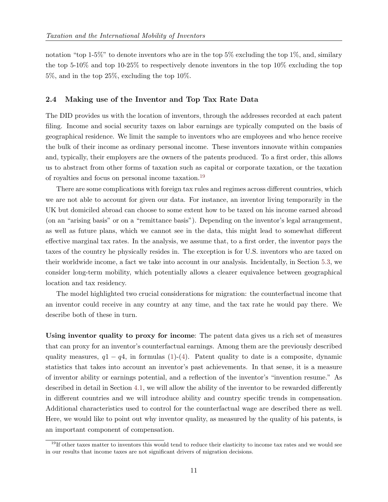notation "top 1-5%" to denote inventors who are in the top  $5\%$  excluding the top 1%, and, similary the top 5-10% and top 10-25% to respectively denote inventors in the top 10% excluding the top 5%, and in the top 25%, excluding the top 10%.

#### <span id="page-12-0"></span>2.4 Making use of the Inventor and Top Tax Rate Data

The DID provides us with the location of inventors, through the addresses recorded at each patent filing. Income and social security taxes on labor earnings are typically computed on the basis of geographical residence. We limit the sample to inventors who are employees and who hence receive the bulk of their income as ordinary personal income. These inventors innovate within companies and, typically, their employers are the owners of the patents produced. To a first order, this allows us to abstract from other forms of taxation such as capital or corporate taxation, or the taxation of royalties and focus on personal income taxation.[19](#page-1-0)

There are some complications with foreign tax rules and regimes across different countries, which we are not able to account for given our data. For instance, an inventor living temporarily in the UK but domiciled abroad can choose to some extent how to be taxed on his income earned abroad (on an "arising basis" or on a "remittance basis"). Depending on the inventor's legal arrangement, as well as future plans, which we cannot see in the data, this might lead to somewhat different effective marginal tax rates. In the analysis, we assume that, to a first order, the inventor pays the taxes of the country he physically resides in. The exception is for U.S. inventors who are taxed on their worldwide income, a fact we take into account in our analysis. Incidentally, in Section [5.3,](#page-33-0) we consider long-term mobility, which potentially allows a clearer equivalence between geographical location and tax residency.

The model highlighted two crucial considerations for migration: the counterfactual income that an inventor could receive in any country at any time, and the tax rate he would pay there. We describe both of these in turn.

Using inventor quality to proxy for income: The patent data gives us a rich set of measures that can proxy for an inventor's counterfactual earnings. Among them are the previously described quality measures,  $q1 - q4$ , in formulas [\(1\)](#page-11-0)-[\(4\)](#page-11-1). Patent quality to date is a composite, dynamic statistics that takes into account an inventor's past achievements. In that sense, it is a measure of inventor ability or earnings potential, and a reflection of the inventor's "invention resume." As described in detail in Section [4.1,](#page-20-1) we will allow the ability of the inventor to be rewarded differently in different countries and we will introduce ability and country specific trends in compensation. Additional characteristics used to control for the counterfactual wage are described there as well. Here, we would like to point out why inventor quality, as measured by the quality of his patents, is an important component of compensation.

<sup>&</sup>lt;sup>19</sup>If other taxes matter to inventors this would tend to reduce their elasticity to income tax rates and we would see in our results that income taxes are not significant drivers of migration decisions.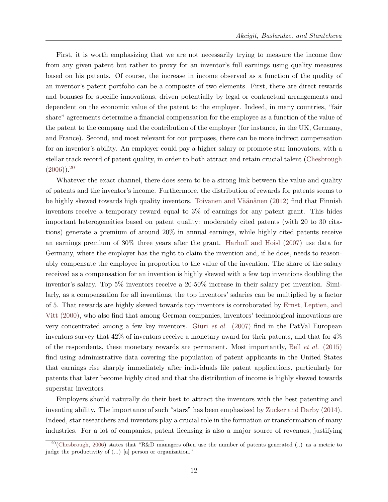First, it is worth emphasizing that we are not necessarily trying to measure the income flow from any given patent but rather to proxy for an inventor's full earnings using quality measures based on his patents. Of course, the increase in income observed as a function of the quality of an inventor's patent portfolio can be a composite of two elements. First, there are direct rewards and bonuses for specific innovations, driven potentially by legal or contractual arrangements and dependent on the economic value of the patent to the employer. Indeed, in many countries, "fair share" agreements determine a financial compensation for the employee as a function of the value of the patent to the company and the contribution of the employer (for instance, in the UK, Germany, and France). Second, and most relevant for our purposes, there can be more indirect compensation for an inventor's ability. An employer could pay a higher salary or promote star innovators, with a stellar track record of patent quality, in order to both attract and retain crucial talent [\(Chesbrough](#page-37-9)  $(2006)$ ).<sup>[20](#page-1-0)</sup>

Whatever the exact channel, there does seem to be a strong link between the value and quality of patents and the inventor's income. Furthermore, the distribution of rewards for patents seems to be highly skewed towards high quality inventors. Toivanen and Väänänen [\(2012\)](#page-38-15) find that Finnish inventors receive a temporary reward equal to 3% of earnings for any patent grant. This hides important heterogeneities based on patent quality: moderately cited patents (with 20 to 30 citations) generate a premium of around 20% in annual earnings, while highly cited patents receive an earnings premium of 30% three years after the grant. [Harhoff and Hoisl](#page-37-10) [\(2007\)](#page-37-10) use data for Germany, where the employer has the right to claim the invention and, if he does, needs to reasonably compensate the employee in proportion to the value of the invention. The share of the salary received as a compensation for an invention is highly skewed with a few top inventions doubling the inventor's salary. Top 5% inventors receive a 20-50% increase in their salary per invention. Similarly, as a compensation for all inventions, the top inventors' salaries can be multiplied by a factor of 5. That rewards are highly skewed towards top inventors is corroborated by [Ernst, Leptien, and](#page-37-11) [Vitt \(2000\),](#page-37-11) who also find that among German companies, inventors' technological innovations are very concentrated among a few key inventors. Giuri et al. [\(2007\)](#page-37-12) find in the PatVal European inventors survey that 42% of inventors receive a monetary award for their patents, and that for 4% of the respondents, these monetary rewards are permanent. Most importantly, Bell  $et al.$  [\(2015\)](#page-36-0) find using administrative data covering the population of patent applicants in the United States that earnings rise sharply immediately after individuals file patent applications, particularly for patents that later become highly cited and that the distribution of income is highly skewed towards superstar inventors.

Employers should naturally do their best to attract the inventors with the best patenting and inventing ability. The importance of such "stars" has been emphasized by [Zucker and Darby](#page-38-16) [\(2014\)](#page-38-16). Indeed, star researchers and inventors play a crucial role in the formation or transformation of many industries. For a lot of companies, patent licensing is also a major source of revenues, justifying

<sup>&</sup>lt;sup>20</sup>[\(Chesbrough,](#page-37-9) [2006\)](#page-37-9) states that "R&D managers often use the number of patents generated (..) as a metric to judge the productivity of (...) [a] person or organization."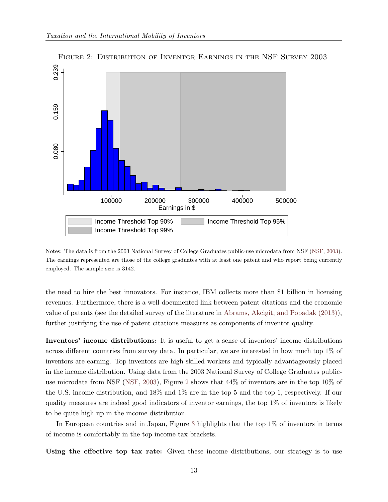

<span id="page-14-0"></span>Figure 2: Distribution of Inventor Earnings in the NSF Survey 2003

Notes: The data is from the 2003 National Survey of College Graduates public-use microdata from NSF [\(NSF,](#page-38-17) [2003\)](#page-38-17). The earnings represented are those of the college graduates with at least one patent and who report being currently employed. The sample size is 3142.

the need to hire the best innovators. For instance, IBM collects more than \$1 billion in licensing revenues. Furthermore, there is a well-documented link between patent citations and the economic value of patents (see the detailed survey of the literature in [Abrams, Akcigit, and Popadak \(2013\)\)](#page-36-1), further justifying the use of patent citations measures as components of inventor quality.

Inventors' income distributions: It is useful to get a sense of inventors' income distributions across different countries from survey data. In particular, we are interested in how much top 1% of inventors are earning. Top inventors are high-skilled workers and typically advantageously placed in the income distribution. Using data from the 2003 National Survey of College Graduates publicuse microdata from NSF [\(NSF,](#page-38-17) [2003\)](#page-38-17), Figure [2](#page-14-0) shows that 44% of inventors are in the top 10% of the U.S. income distribution, and 18% and 1% are in the top 5 and the top 1, respectively. If our quality measures are indeed good indicators of inventor earnings, the top 1% of inventors is likely to be quite high up in the income distribution.

In European countries and in Japan, Figure [3](#page-15-0) highlights that the top 1% of inventors in terms of income is comfortably in the top income tax brackets.

Using the effective top tax rate: Given these income distributions, our strategy is to use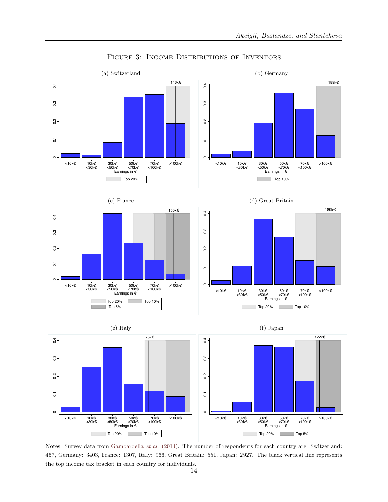<span id="page-15-0"></span>

Figure 3: Income Distributions of Inventors

Notes: Survey data from [Gambardella](#page-37-13) et al. (2014). The number of respondents for each country are: Switzerland: 457, Germany: 3403, France: 1307, Italy: 966, Great Britain: 551, Japan: 2927. The black vertical line represents the top income tax bracket in each country for individuals.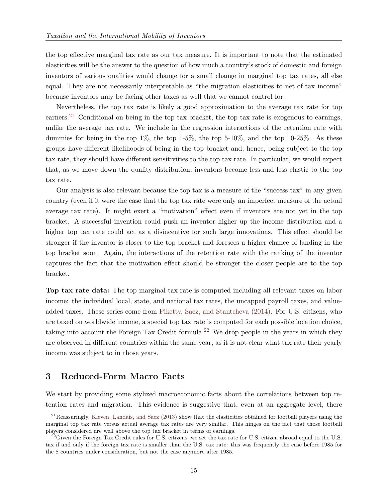the top effective marginal tax rate as our tax measure. It is important to note that the estimated elasticities will be the answer to the question of how much a country's stock of domestic and foreign inventors of various qualities would change for a small change in marginal top tax rates, all else equal. They are not necessarily interpretable as "the migration elasticities to net-of-tax income" because inventors may be facing other taxes as well that we cannot control for.

Nevertheless, the top tax rate is likely a good approximation to the average tax rate for top earners.<sup>[21](#page-1-0)</sup> Conditional on being in the top tax bracket, the top tax rate is exogenous to earnings, unlike the average tax rate. We include in the regression interactions of the retention rate with dummies for being in the top  $1\%$ , the top  $1-5\%$ , the top  $5-10\%$ , and the top  $10-25\%$ . As these groups have different likelihoods of being in the top bracket and, hence, being subject to the top tax rate, they should have different sensitivities to the top tax rate. In particular, we would expect that, as we move down the quality distribution, inventors become less and less elastic to the top tax rate.

Our analysis is also relevant because the top tax is a measure of the "success tax" in any given country (even if it were the case that the top tax rate were only an imperfect measure of the actual average tax rate). It might exert a "motivation" effect even if inventors are not yet in the top bracket. A successful invention could push an inventor higher up the income distribution and a higher top tax rate could act as a disincentive for such large innovations. This effect should be stronger if the inventor is closer to the top bracket and foresees a higher chance of landing in the top bracket soon. Again, the interactions of the retention rate with the ranking of the inventor captures the fact that the motivation effect should be stronger the closer people are to the top bracket.

Top tax rate data: The top marginal tax rate is computed including all relevant taxes on labor income: the individual local, state, and national tax rates, the uncapped payroll taxes, and valueadded taxes. These series come from [Piketty, Saez, and Stantcheva \(2014\).](#page-38-2) For U.S. citizens, who are taxed on worldwide income, a special top tax rate is computed for each possible location choice, taking into account the Foreign Tax Credit formula.<sup>[22](#page-1-0)</sup> We drop people in the years in which they are observed in different countries within the same year, as it is not clear what tax rate their yearly income was subject to in those years.

## <span id="page-16-0"></span>3 Reduced-Form Macro Facts

We start by providing some stylized macroeconomic facts about the correlations between top retention rates and migration. This evidence is suggestive that, even at an aggregate level, there

<sup>&</sup>lt;sup>21</sup>Reassuringly, [Kleven, Landais, and Saez \(2013\)](#page-37-0) show that the elasticities obtained for football players using the marginal top tax rate versus actual average tax rates are very similar. This hinges on the fact that those football players considered are well above the top tax bracket in terms of earnings.

 $^{22}$ Given the Foreign Tax Credit rules for U.S. citizens, we set the tax rate for U.S. citizen abroad equal to the U.S. tax if and only if the foreign tax rate is smaller than the U.S. tax rate: this was frequently the case before 1985 for the 8 countries under consideration, but not the case anymore after 1985.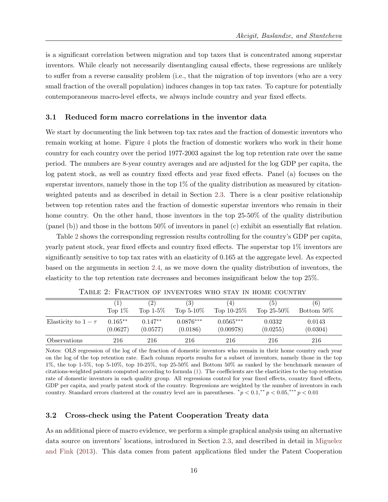is a significant correlation between migration and top taxes that is concentrated among superstar inventors. While clearly not necessarily disentangling causal effects, these regressions are unlikely to suffer from a reverse causality problem (i.e., that the migration of top inventors (who are a very small fraction of the overall population) induces changes in top tax rates. To capture for potentially contemporaneous macro-level effects, we always include country and year fixed effects.

#### 3.1 Reduced form macro correlations in the inventor data

We start by documenting the link between top tax rates and the fraction of domestic inventors who remain working at home. Figure [4](#page-18-0) plots the fraction of domestic workers who work in their home country for each country over the period 1977-2003 against the log top retention rate over the same period. The numbers are 8-year country averages and are adjusted for the log GDP per capita, the log patent stock, as well as country fixed effects and year fixed effects. Panel (a) focuses on the superstar inventors, namely those in the top 1% of the quality distribution as measured by citationweighted patents and as described in detail in Section [2.3.](#page-9-0) There is a clear positive relationship between top retention rates and the fraction of domestic superstar inventors who remain in their home country. On the other hand, those inventors in the top 25-50% of the quality distribution (panel (b)) and those in the bottom 50% of inventors in panel (c) exhibit an essentially flat relation.

Table [2](#page-17-1) shows the corresponding regression results controlling for the country's GDP per capita, yearly patent stock, year fixed effects and country fixed effects. The superstar top 1% inventors are significantly sensitive to top tax rates with an elasticity of 0.165 at the aggregate level. As expected based on the arguments in section [2.4,](#page-12-0) as we move down the quality distribution of inventors, the elasticity to the top retention rate decreases and becomes insignificant below the top 25%.

<span id="page-17-1"></span>

|                        | $\mathbf{I}$<br>Top $1\%$ | $2^{\circ}$<br>Top $1-5\%$ | $\langle 3 \rangle$<br>Top $5-10\%$ | 4<br>Top $10-25\%$       | (5)<br>Top $25-50\%$ | $\left( 6\right)$<br>Bottom 50\% |  |
|------------------------|---------------------------|----------------------------|-------------------------------------|--------------------------|----------------------|----------------------------------|--|
| Elasticity to $1-\tau$ | $0.165**$<br>(0.0627)     | $0.147**$<br>(0.0577)      | $0.0876***$<br>(0.0186)             | $0.0565***$<br>(0.00978) | 0.0332<br>(0.0255)   | 0.0143<br>(0.0304)               |  |
| Observations           | 216                       | 216                        | 216                                 | 216                      | 216                  | 216                              |  |

Table 2: Fraction of inventors who stay in home country

Notes: OLS regression of the log of the fraction of domestic inventors who remain in their home country each year on the log of the top retention rate. Each column reports results for a subset of inventors, namely those in the top 1%, the top 1-5%, top 5-10%, top 10-25%, top 25-50% and Bottom 50% as ranked by the benchmark measure of citations-weighted patents computed according to formula [\(1\)](#page-11-0). The coefficients are the elasticities to the top retention rate of domestic inventors in each quality group. All regressions control for year fixed effects, country fixed effects, GDP per capita, and yearly patent stock of the country. Regressions are weighted by the number of inventors in each country. Standard errors clustered at the country level are in parentheses.  $^*p < 0.1, ^{**}p < 0.05, ^{***}p < 0.01$ 

#### <span id="page-17-0"></span>3.2 Cross-check using the Patent Cooperation Treaty data

As an additional piece of macro evidence, we perform a simple graphical analysis using an alternative data source on inventors' locations, introduced in Section [2.3,](#page-9-0) and described in detail in [Miguelez](#page-38-0) [and Fink](#page-38-0) [\(2013\)](#page-38-0). This data comes from patent applications filed under the Patent Cooperation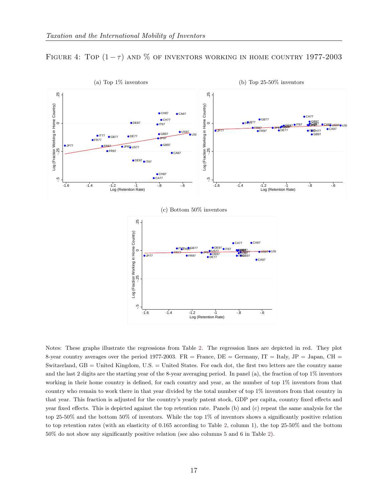<span id="page-18-0"></span>



Notes: These graphs illustrate the regressions from Table [2.](#page-17-1) The regression lines are depicted in red. They plot 8-year country averages over the period 1977-2003. FR = France,  $DE =$  Germany,  $IT =$  Italy,  $JP =$  Japan,  $CH =$ Switzerland, GB = United Kingdom, U.S. = United States. For each dot, the first two letters are the country name and the last 2 digits are the starting year of the 8-year averaging period. In panel (a), the fraction of top 1% inventors working in their home country is defined, for each country and year, as the number of top 1% inventors from that country who remain to work there in that year divided by the total number of top 1% inventors from that country in that year. This fraction is adjusted for the country's yearly patent stock, GDP per capita, country fixed effects and year fixed effects. This is depicted against the top retention rate. Panels (b) and (c) repeat the same analysis for the top 25-50% and the bottom 50% of inventors. While the top 1% of inventors shows a significantly positive relation to top retention rates (with an elasticity of 0.165 according to Table [2,](#page-17-1) column 1), the top 25-50% and the bottom 50% do not show any significantly positive relation (see also columns 5 and 6 in Table [2\)](#page-17-1).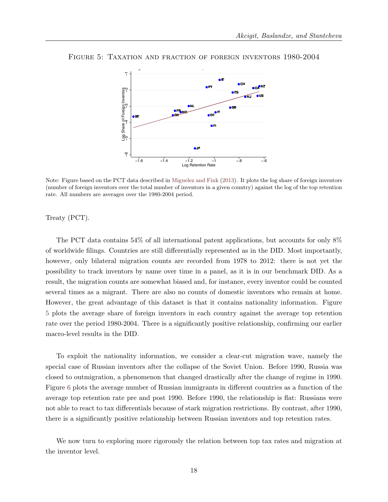

#### <span id="page-19-0"></span>Figure 5: Taxation and fraction of foreign inventors 1980-2004

Note: Figure based on the PCT data described in [Miguelez and Fink](#page-38-0) [\(2013\)](#page-38-0). It plots the log share of foreign inventors (number of foreign inventors over the total number of inventors in a given country) against the log of the top retention rate. All numbers are averages over the 1980-2004 period.

Treaty (PCT).

The PCT data contains 54% of all international patent applications, but accounts for only 8% of worldwide filings. Countries are still differentially represented as in the DID. Most importantly, however, only bilateral migration counts are recorded from 1978 to 2012: there is not yet the possibility to track inventors by name over time in a panel, as it is in our benchmark DID. As a result, the migration counts are somewhat biased and, for instance, every inventor could be counted several times as a migrant. There are also no counts of domestic inventors who remain at home. However, the great advantage of this dataset is that it contains nationality information. Figure [5](#page-19-0) plots the average share of foreign inventors in each country against the average top retention rate over the period 1980-2004. There is a significantly positive relationship, confirming our earlier macro-level results in the DID.

To exploit the nationality information, we consider a clear-cut migration wave, namely the special case of Russian inventors after the collapse of the Soviet Union. Before 1990, Russia was closed to outmigration, a phenomenon that changed drastically after the change of regime in 1990. Figure [6](#page-20-2) plots the average number of Russian immigrants in different countries as a function of the average top retention rate pre and post 1990. Before 1990, the relationship is flat: Russians were not able to react to tax differentials because of stark migration restrictions. By contrast, after 1990, there is a significantly positive relationship between Russian inventors and top retention rates.

We now turn to exploring more rigorously the relation between top tax rates and migration at the inventor level.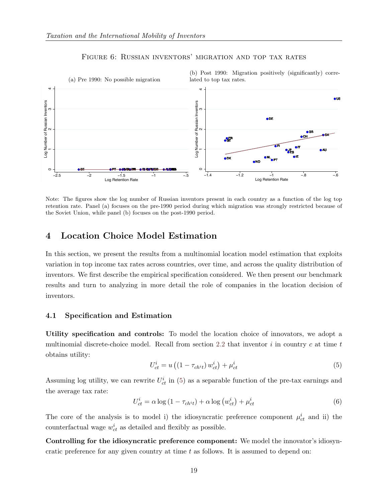<span id="page-20-2"></span>

### Figure 6: Russian inventors' migration and top tax rates

Note: The figures show the log number of Russian inventors present in each country as a function of the log top retention rate. Panel (a) focuses on the pre-1990 period during which migration was strongly restricted because of the Soviet Union, while panel (b) focuses on the post-1990 period.

## <span id="page-20-0"></span>4 Location Choice Model Estimation

In this section, we present the results from a multinomial location model estimation that exploits variation in top income tax rates across countries, over time, and across the quality distribution of inventors. We first describe the empirical specification considered. We then present our benchmark results and turn to analyzing in more detail the role of companies in the location decision of inventors.

#### <span id="page-20-1"></span>4.1 Specification and Estimation

<span id="page-20-3"></span>Utility specification and controls: To model the location choice of innovators, we adopt a multinomial discrete-choice model. Recall from section [2.2](#page-7-1) that inventor  $i$  in country c at time  $t$ obtains utility:

$$
U_{ct}^{i} = u\left(\left(1 - \tau_{ch^{i}t}\right)w_{ct}^{i}\right) + \mu_{ct}^{i}
$$
\n
$$
\tag{5}
$$

Assuming log utility, we can rewrite  $U_{ct}^{i}$  in [\(5\)](#page-20-3) as a separable function of the pre-tax earnings and the average tax rate:

$$
U_{ct}^{i} = \alpha \log \left( 1 - \tau_{ch^{i}t} \right) + \alpha \log \left( w_{ct}^{i} \right) + \mu_{ct}^{i}
$$
\n
$$
\tag{6}
$$

The core of the analysis is to model i) the idiosyncratic preference component  $\mu_{ct}^{i}$  and ii) the counterfactual wage  $w_{ct}^i$  as detailed and flexibly as possible.

Controlling for the idiosyncratic preference component: We model the innovator's idiosyncratic preference for any given country at time  $t$  as follows. It is assumed to depend on: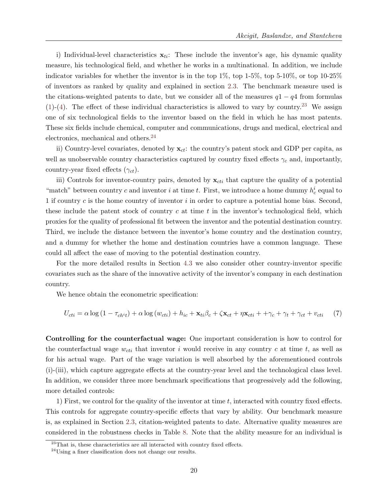i) Individual-level characteristics  $x_{ti}$ : These include the inventor's age, his dynamic quality measure, his technological field, and whether he works in a multinational. In addition, we include indicator variables for whether the inventor is in the top  $1\%$ , top  $1-5\%$ , top  $5-10\%$ , or top  $10-25\%$ of inventors as ranked by quality and explained in section [2.3.](#page-9-0) The benchmark measure used is the citations-weighted patents to date, but we consider all of the measures  $q1 - q4$  from formulas [\(1\)](#page-11-0)-[\(4\)](#page-11-1). The effect of these individual characteristics is allowed to vary by country.<sup>[23](#page-1-0)</sup> We assign one of six technological fields to the inventor based on the field in which he has most patents. These six fields include chemical, computer and communications, drugs and medical, electrical and electronics, mechanical and others.<sup>[24](#page-1-0)</sup>

ii) Country-level covariates, denoted by  $\mathbf{x}_{ct}$ : the country's patent stock and GDP per capita, as well as unobservable country characteristics captured by country fixed effects  $\gamma_c$  and, importantly, country-year fixed effects  $(\gamma_{ct})$ .

iii) Controls for inventor-country pairs, denoted by  $\mathbf{x}_{cti}$  that capture the quality of a potential "match" between country c and inventor i at time t. First, we introduce a home dummy  $h_c^i$  equal to 1 if country c is the home country of inventor i in order to capture a potential home bias. Second, these include the patent stock of country c at time  $t$  in the inventor's technological field, which proxies for the quality of professional fit between the inventor and the potential destination country. Third, we include the distance between the inventor's home country and the destination country, and a dummy for whether the home and destination countries have a common language. These could all affect the ease of moving to the potential destination country.

For the more detailed results in Section [4.3](#page-26-0) we also consider other country-inventor specific covariates such as the share of the innovative activity of the inventor's company in each destination country.

We hence obtain the econometric specification:

$$
U_{cti} = \alpha \log (1 - \tau_{chit}) + \alpha \log (w_{cti}) + h_{ic} + \mathbf{x}_{ti}\beta_c + \zeta \mathbf{x}_{ct} + \eta \mathbf{x}_{cti} + \gamma_c + \gamma_t + \gamma_{ct} + v_{cti} \tag{7}
$$

Controlling for the counterfactual wage: One important consideration is how to control for the counterfactual wage  $w_{cti}$  that inventor i would receive in any country c at time t, as well as for his actual wage. Part of the wage variation is well absorbed by the aforementioned controls (i)-(iii), which capture aggregate effects at the country-year level and the technological class level. In addition, we consider three more benchmark specifications that progressively add the following, more detailed controls:

1) First, we control for the quality of the inventor at time  $t$ , interacted with country fixed effects. This controls for aggregate country-specific effects that vary by ability. Our benchmark measure is, as explained in Section [2.3,](#page-9-0) citation-weighted patents to date. Alternative quality measures are considered in the robustness checks in Table [8.](#page-30-0) Note that the ability measure for an individual is

<sup>&</sup>lt;sup>23</sup>That is, these characteristics are all interacted with country fixed effects.

 $^{24}\mathrm{Using}$  a finer classification does not change our results.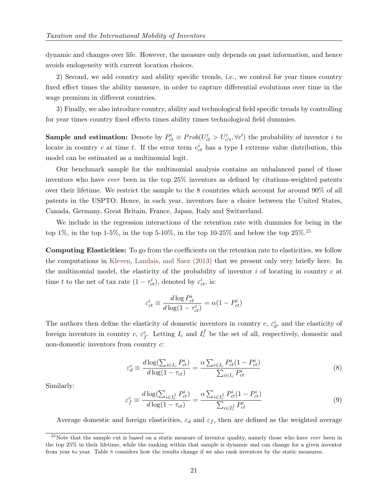dynamic and changes over life. However, the measure only depends on past information, and hence avoids endogeneity with current location choices.

2) Second, we add country and ability specific trends, i.e., we control for year times country fixed effect times the ability measure, in order to capture differential evolutions over time in the wage premium in different countries.

3) Finally, we also introduce country, ability and technological field specific trends by controlling for year times country fixed effects times ability times technological field dummies.

**Sample and estimation:** Denote by  $P_{ct}^i \equiv Prob(U_{ct}^i > U_{c't}^i, \forall c')$  the probability of inventor *i* to locate in country c at time t. If the error term  $v_{ct}^{i}$  has a type I extreme value distribution, this model can be estimated as a multinomial logit.

Our benchmark sample for the multinomial analysis contains an unbalanced panel of those inventors who have ever been in the top 25% inventors as defined by citations-weighted patents over their lifetime. We restrict the sample to the 8 countries which account for around 90% of all patents in the USPTO. Hence, in each year, inventors face a choice between the United States, Canada, Germany, Great Britain, France, Japan, Italy and Switzerland.

We include in the regression interactions of the retention rate with dummies for being in the top 1%, in the top 1-5%, in the top 5-10%, in the top 10-[25](#page-1-0)% and below the top 25%.<sup>25</sup>

Computing Elasticities: To go from the coefficients on the retention rate to elasticities, we follow the computations in [Kleven, Landais, and Saez \(2013\)](#page-37-0) that we present only very briefly here. In the multinomial model, the elasticity of the probability of inventor  $i$  of locating in country  $c$  at time t to the net of tax rate  $(1 - \tau_{ct}^i)$ , denoted by  $\varepsilon_{ct}^i$ , is:

$$
\varepsilon_{ct}^i \equiv \frac{d \log P_{ct}^i}{d \log(1 - \tau_{ct}^i)} = \alpha (1 - P_{ct}^i)
$$

<span id="page-22-0"></span>The authors then define the elasticity of domestic inventors in country  $c, \varepsilon_d^c$ , and the elasticity of foreign inventors in country  $c, \varepsilon_f^c$ . Letting  $I_c$  and  $I_c^f$  be the set of all, respectively, domestic and non-domestic inventors from country c:

$$
\varepsilon_d^c \equiv \frac{d \log(\sum_{i \in I_c} P_{ct}^i)}{d \log(1 - \tau_{ct})} = \frac{\alpha \sum_{i \in I_c} P_{ct}^i (1 - P_{ct}^i)}{\sum_{i \in I_c} P_{ct}^i}
$$
(8)

<span id="page-22-1"></span>Similarly:

$$
\varepsilon_f^c \equiv \frac{d \log(\sum_{i \in I_c^f} P_{ct}^i)}{d \log(1 - \tau_{ct})} = \frac{\alpha \sum_{i \in I_c^f} P_{ct}^i (1 - P_{ct}^i)}{\sum_{i \in I_c^f} P_{ct}^i}
$$
(9)

Average domestic and foreign elasticities,  $\varepsilon_d$  and  $\varepsilon_f$ , then are defined as the weighted average

 $25$ Note that the sample cut is based on a static measure of inventor quality, namely those who have *ever* been in the top 25% in their lifetime, while the ranking within that sample is dynamic and can change for a given inventor from year to year. Table [8](#page-30-0) considers how the results change if we also rank inventors by the static measures.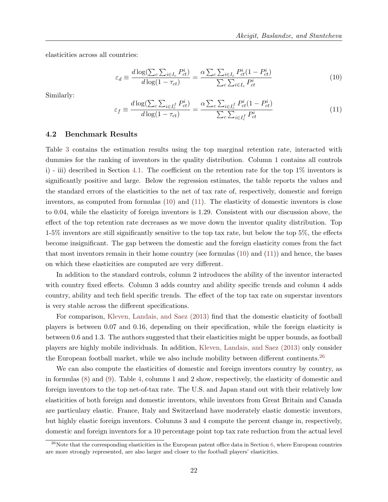<span id="page-23-0"></span>elasticities across all countries:

$$
\varepsilon_d \equiv \frac{d \log(\sum_c \sum_{i \in I_c} P_{ct}^i)}{d \log(1 - \tau_{ct})} = \frac{\alpha \sum_c \sum_{i \in I_c} P_{ct}^i (1 - P_{ct}^i)}{\sum_c \sum_{i \in I_c} P_{ct}^i}
$$
(10)

<span id="page-23-1"></span>Similarly:

$$
\varepsilon_f \equiv \frac{d \log(\sum_c \sum_{i \in I_c^f} P_{ct}^i)}{d \log(1 - \tau_{ct})} = \frac{\alpha \sum_c \sum_{i \in I_c^f} P_{ct}^i (1 - P_{ct}^i)}{\sum_c \sum_{i \in I_c^f} P_{ct}^i}
$$
(11)

#### 4.2 Benchmark Results

Table [3](#page-24-0) contains the estimation results using the top marginal retention rate, interacted with dummies for the ranking of inventors in the quality distribution. Column 1 contains all controls i) - iii) described in Section [4.1.](#page-20-1) The coefficient on the retention rate for the top  $1\%$  inventors is significantly positive and large. Below the regression estimates, the table reports the values and the standard errors of the elasticities to the net of tax rate of, respectively, domestic and foreign inventors, as computed from formulas [\(10\)](#page-23-0) and [\(11\)](#page-23-1). The elasticity of domestic inventors is close to 0.04, while the elasticity of foreign inventors is 1.29. Consistent with our discussion above, the effect of the top retention rate decreases as we move down the inventor quality distribution. Top 1-5% inventors are still significantly sensitive to the top tax rate, but below the top 5%, the effects become insignificant. The gap between the domestic and the foreign elasticity comes from the fact that most inventors remain in their home country (see formulas [\(10\)](#page-23-0) and [\(11\)](#page-23-1)) and hence, the bases on which these elasticities are computed are very different.

In addition to the standard controls, column 2 introduces the ability of the inventor interacted with country fixed effects. Column 3 adds country and ability specific trends and column 4 adds country, ability and tech field specific trends. The effect of the top tax rate on superstar inventors is very stable across the different specifications.

For comparison, [Kleven, Landais, and Saez \(2013\)](#page-37-0) find that the domestic elasticity of football players is between 0.07 and 0.16, depending on their specification, while the foreign elasticity is between 0.6 and 1.3. The authors suggested that their elasticities might be upper bounds, as football players are highly mobile individuals. In addition, [Kleven, Landais, and Saez \(2013\)](#page-37-0) only consider the European football market, while we also include mobility between different continents.<sup>[26](#page-1-0)</sup>

We can also compute the elasticities of domestic and foreign inventors country by country, as in formulas [\(8\)](#page-22-0) and [\(9\)](#page-22-1). Table [4,](#page-25-0) columns 1 and 2 show, respectively, the elasticity of domestic and foreign inventors to the top net-of-tax rate. The U.S. and Japan stand out with their relatively low elasticities of both foreign and domestic inventors, while inventors from Great Britain and Canada are particulary elastic. France, Italy and Switzerland have moderately elastic domestic inventors, but highly elastic foreign inventors. Columns 3 and 4 compute the percent change in, respectively, domestic and foreign inventors for a 10 percentage point top tax rate reduction from the actual level

 $26$ Note that the corresponding elasticities in the European patent office data in Section [6,](#page-34-0) where European countries are more strongly represented, are also larger and closer to the football players' elasticities.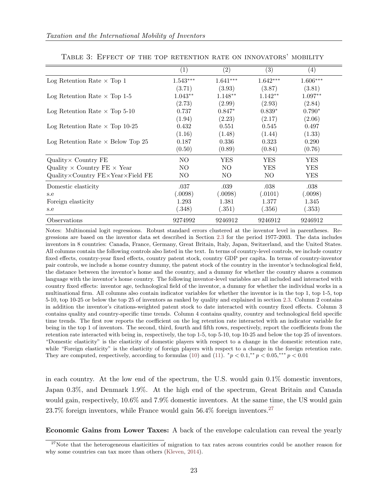|                                                           | (1)        | (2)        | $\left( 3\right)$ | $\left( 4\right)$ |
|-----------------------------------------------------------|------------|------------|-------------------|-------------------|
| Log Retention Rate $\times$ Top 1                         | $1.543***$ | $1.641***$ | $1.642***$        | $1.606***$        |
|                                                           | (3.71)     | (3.93)     | (3.87)            | (3.81)            |
| Log Retention Rate $\times$ Top 1-5                       | $1.043**$  | $1.148**$  | $1.142**$         | $1.097**$         |
|                                                           | (2.73)     | (2.99)     | (2.93)            | (2.84)            |
| Log Retention Rate $\times$ Top 5-10                      | 0.737      | $0.847*$   | $0.839*$          | $0.790*$          |
|                                                           | (1.94)     | (2.23)     | (2.17)            | (2.06)            |
| Log Retention Rate $\times$ Top 10-25                     | 0.432      | 0.551      | 0.545             | 0.497             |
|                                                           | (1.16)     | (1.48)     | (1.44)            | (1.33)            |
| Log Retention Rate $\times$ Below Top 25                  | 0.187      | 0.336      | 0.323             | 0.290             |
|                                                           | (0.50)     | (0.89)     | (0.84)            | (0.76)            |
| $\text{Quality} \times \text{Country FE}$                 | NO.        | YES        | YES               | YES               |
| Quality $\times$ Country FE $\times$ Year                 | NO.        | NO.        | YES               | YES               |
| Quality $\times$ Country $FE \times Year \times Field$ FE | NO.        | NO.        | NO                | YES               |
| Domestic elasticity                                       | .037       | .039       | .038              | .038              |
| s.e                                                       | (.0098)    | (.0098)    | (.0101)           | (.0098)           |
| Foreign elasticity                                        | 1.293      | 1.381      | 1.377             | 1.345             |
| s.e                                                       | (.348)     | (.351)     | (.356)            | (.353)            |
| Observations                                              | 9274992    | 9246912    | 9246912           | 9246912           |

<span id="page-24-0"></span>Table 3: Effect of the top retention rate on innovators' mobility

Notes: Multinomial logit regressions. Robust standard errors clustered at the inventor level in parentheses. Regressions are based on the inventor data set described in Section [2.3](#page-9-0) for the period 1977-2003. The data includes inventors in 8 countries: Canada, France, Germany, Great Britain, Italy, Japan, Switzerland, and the United States. All columns contain the following controls also listed in the text. In terms of country-level controls, we include country fixed effects, country-year fixed effects, country patent stock, country GDP per capita. In terms of country-inventor pair controls, we include a home country dummy, the patent stock of the country in the inventor's technological field, the distance between the inventor's home and the country, and a dummy for whether the country shares a common language with the inventor's home country. The following inventor-level variables are all included and interacted with country fixed effects: inventor age, technological field of the inventor, a dummy for whether the individual works in a multinational firm. All columns also contain indicator variables for whether the inventor is in the top 1, top 1-5, top 5-10, top 10-25 or below the top 25 of inventors as ranked by quality and explained in section [2.3.](#page-9-0) Column 2 contains in addition the inventor's citations-weighted patent stock to date interacted with country fixed effects. Column 3 contains quality and country-specific time trends. Column 4 contains quality, country and technological field specific time trends. The first row reports the coefficient on the log retention rate interacted with an indicator variable for being in the top 1 of inventors. The second, third, fourth and fifth rows, respectively, report the coefficients from the retention rate interacted with being in, respectively, the top 1-5, top 5-10, top 10-25 and below the top 25 of inventors. "Domestic elasticity" is the elasticity of domestic players with respect to a change in the domestic retention rate, while "Foreign elasticity" is the elasticity of foreign players with respect to a change in the foreign retention rate. They are computed, respectively, according to formulas [\(10\)](#page-23-0) and [\(11\)](#page-23-1).  $^*p < 0.1, ^{**}p < 0.05, ^{***}p < 0.01$ 

in each country. At the low end of the spectrum, the U.S. would gain 0.1% domestic inventors, Japan 0.3%, and Denmark 1.9%. At the high end of the spectrum, Great Britain and Canada would gain, respectively,  $10.6\%$  and  $7.9\%$  domestic inventors. At the same time, the US would gain  $23.7\%$  foreign inventors, while France would gain 56.4% foreign inventors.<sup>[27](#page-1-0)</sup>

Economic Gains from Lower Taxes: A back of the envelope calculation can reveal the yearly

 $27$ Note that the heterogeneous elasticities of migration to tax rates across countries could be another reason for why some countries can tax more than others [\(Kleven,](#page-37-14) [2014\)](#page-37-14).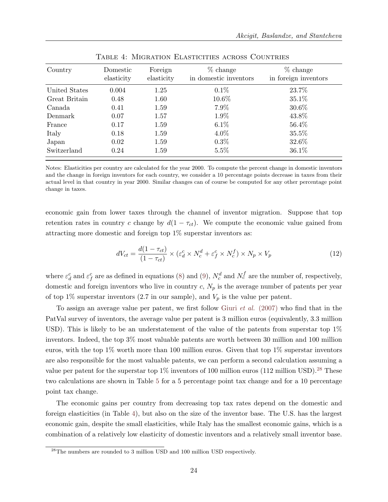<span id="page-25-0"></span>

| Country       | Domestic<br>elasticity | Foreign<br>elasticity | % change<br>in domestic inventors | % change<br>in foreign inventors |
|---------------|------------------------|-----------------------|-----------------------------------|----------------------------------|
| United States | 0.004                  | 1.25                  | $0.1\%$                           | 23.7%                            |
| Great Britain | 0.48                   | 1.60                  | 10.6%                             | 35.1%                            |
| Canada        | 0.41                   | 1.59                  | 7.9%                              | 30.6%                            |
| Denmark       | 0.07                   | 1.57                  | 1.9%                              | 43.8%                            |
| France        | 0.17                   | 1.59                  | $6.1\%$                           | 56.4%                            |
| Italy         | 0.18                   | 1.59                  | 4.0%                              | 35.5%                            |
| Japan         | 0.02                   | 1.59                  | $0.3\%$                           | 32.6%                            |
| Switzerland   | 0.24                   | 1.59                  | $5.5\%$                           | 36.1%                            |

Table 4: Migration Elasticities across Countries

Notes: Elasticities per country are calculated for the year 2000. To compute the percent change in domestic inventors and the change in foreign inventors for each country, we consider a 10 percentage points decrease in taxes from their actual level in that country in year 2000. Similar changes can of course be computed for any other percentage point change in taxes.

economic gain from lower taxes through the channel of inventor migration. Suppose that top retention rates in country c change by  $d(1 - \tau_{ct})$ . We compute the economic value gained from attracting more domestic and foreign top 1% superstar inventors as:

<span id="page-25-1"></span>
$$
dV_{ct} = \frac{d(1 - \tau_{ct})}{(1 - \tau_{ct})} \times (\varepsilon_d^c \times N_c^d + \varepsilon_f^c \times N_c^f) \times N_p \times V_p \tag{12}
$$

where  $\varepsilon_d^c$  and  $\varepsilon_f^c$  are as defined in equations [\(8\)](#page-22-0) and [\(9\)](#page-22-1),  $N_c^d$  and  $N_c^f$  are the number of, respectively, domestic and foreign inventors who live in country  $c, N_p$  is the average number of patents per year of top 1% superstar inventors (2.7 in our sample), and  $V_p$  is the value per patent.

To assign an average value per patent, we first follow Giuri et al. [\(2007\)](#page-37-12) who find that in the PatVal survey of inventors, the average value per patent is 3 million euros (equivalently, 3.3 million USD). This is likely to be an understatement of the value of the patents from superstar top  $1\%$ inventors. Indeed, the top 3% most valuable patents are worth between 30 million and 100 million euros, with the top 1% worth more than 100 million euros. Given that top 1% superstar inventors are also responsible for the most valuable patents, we can perform a second calculation assuming a value per patent for the superstar top  $1\%$  inventors of 100 million euros (112 million USD).<sup>[28](#page-1-0)</sup> These two calculations are shown in Table [5](#page-26-1) for a 5 percentage point tax change and for a 10 percentage point tax change.

The economic gains per country from decreasing top tax rates depend on the domestic and foreign elasticities (in Table [4\)](#page-25-0), but also on the size of the inventor base. The U.S. has the largest economic gain, despite the small elasticities, while Italy has the smallest economic gains, which is a combination of a relatively low elasticity of domestic inventors and a relatively small inventor base.

 $^{28}$ The numbers are rounded to 3 million USD and 100 million USD respectively.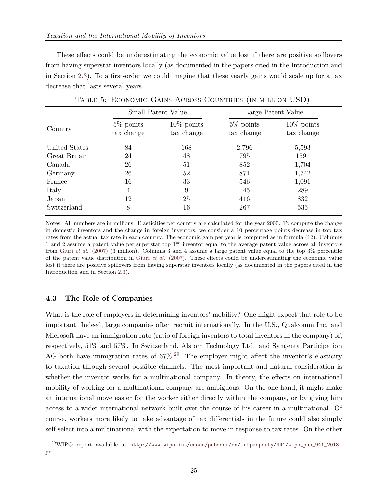These effects could be underestimating the economic value lost if there are positive spillovers from having superstar inventors locally (as documented in the papers cited in the Introduction and in Section [2.3\)](#page-9-0). To a first-order we could imagine that these yearly gains would scale up for a tax decrease that lasts several years.

<span id="page-26-1"></span>

|               |                            | Small Patent Value          |                            | Large Patent Value          |  |
|---------------|----------------------------|-----------------------------|----------------------------|-----------------------------|--|
| Country       | $5\%$ points<br>tax change | $10\%$ points<br>tax change | $5\%$ points<br>tax change | $10\%$ points<br>tax change |  |
| United States | 84                         | 168                         | 2,796                      | 5,593                       |  |
| Great Britain | 24                         | 48                          | 795                        | 1591                        |  |
| Canada        | 26                         | 51                          | 852                        | 1,704                       |  |
| Germany       | 26                         | 52                          | 871                        | 1,742                       |  |
| France        | 16                         | 33                          | 546                        | 1,091                       |  |
| Italy         | 4                          | 9                           | 145                        | 289                         |  |
| Japan         | 12                         | 25                          | 416                        | 832                         |  |
| Switzerland   | 8                          | 16                          | 267                        | 535                         |  |

| TABLE 5: ECONOMIC GAINS ACROSS COUNTRIES (IN MILLION USD) |  |  |  |  |  |  |  |
|-----------------------------------------------------------|--|--|--|--|--|--|--|
|-----------------------------------------------------------|--|--|--|--|--|--|--|

Notes: All numbers are in millions. Elasticities per country are calculated for the year 2000. To compute the change in domestic inventors and the change in foreign inventors, we consider a 10 percentage points decrease in top tax rates from the actual tax rate in each country. The economic gain per year is computed as in formula [\(12\)](#page-25-1). Columns 1 and 2 assume a patent value per superstar top 1% inventor equal to the average patent value across all inventors from Giuri et al. [\(2007\)](#page-37-12) (3 million). Columns 3 and 4 assume a large patent value equal to the top 3% percentile of the patent value distribution in Giuri et al.  $(2007)$ . These effects could be underestimating the economic value lost if there are positive spillovers from having superstar inventors locally (as documented in the papers cited in the Introduction and in Section [2.3\)](#page-9-0).

#### <span id="page-26-0"></span>4.3 The Role of Companies

What is the role of employers in determining inventors' mobility? One might expect that role to be important. Indeed, large companies often recruit internationally. In the U.S., Qualcomm Inc. and Microsoft have an immigration rate (ratio of foreign inventors to total inventors in the company) of, respectively, 51% and 57%. In Switzerland, Alstom Technology Ltd. and Syngenta Participation AG both have immigration rates of  $67\%$ <sup>[29](#page-1-0)</sup>. The employer might affect the inventor's elasticity to taxation through several possible channels. The most important and natural consideration is whether the inventor works for a multinational company. In theory, the effects on international mobility of working for a multinational company are ambiguous. On the one hand, it might make an international move easier for the worker either directly within the company, or by giving him access to a wider international network built over the course of his career in a multinational. Of course, workers more likely to take advantage of tax differentials in the future could also simply self-select into a multinational with the expectation to move in response to tax rates. On the other

<sup>29</sup>WIPO report available at [http://www.wipo.int/edocs/pubdocs/en/intproperty/941/wipo\\_pub\\_941\\_2013.](http://www.wipo.int/edocs/pubdocs/en/intproperty/941/wipo_pub_941_2013.pdf) [pdf](http://www.wipo.int/edocs/pubdocs/en/intproperty/941/wipo_pub_941_2013.pdf).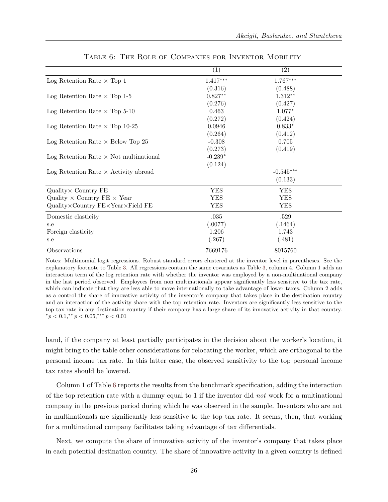<span id="page-27-0"></span>

|                                                  | (1)        | (2)         |  |
|--------------------------------------------------|------------|-------------|--|
| Log Retention Rate $\times$ Top 1                | $1.417***$ | $1.767***$  |  |
|                                                  | (0.316)    | (0.488)     |  |
| Log Retention Rate $\times$ Top 1-5              | $0.827**$  | $1.312**$   |  |
|                                                  | (0.276)    | (0.427)     |  |
| Log Retention Rate $\times$ Top 5-10             | 0.463      | $1.077*$    |  |
|                                                  | (0.272)    | (0.424)     |  |
| Log Retention Rate $\times$ Top 10-25            | 0.0946     | $0.833*$    |  |
|                                                  | (0.264)    | (0.412)     |  |
| Log Retention Rate $\times$ Below Top 25         | $-0.308$   | 0.705       |  |
|                                                  | (0.273)    | (0.419)     |  |
| Log Retention Rate $\times$ Not multinational    | $-0.239*$  |             |  |
|                                                  | (0.124)    |             |  |
| Log Retention Rate $\times$ Activity abroad      |            | $-0.545***$ |  |
|                                                  |            | (0.133)     |  |
| Quality $\times$ Country FE                      | YES        | YES         |  |
| Quality $\times$ Country FE $\times$ Year        | YES        | YES         |  |
| Quality×Country $FE \times Year \times Field$ FE | YES        | YES         |  |
| Domestic elasticity                              | .035       | .529        |  |
| s.e                                              | (.0077)    | (.1464)     |  |
| Foreign elasticity                               | 1.206      | 1.743       |  |
| s.e                                              | (.267)     | (.481)      |  |
| Observations                                     | 7669176    | 8015760     |  |

Table 6: The Role of Companies for Inventor Mobility

Notes: Multinomial logit regressions. Robust standard errors clustered at the inventor level in parentheses. See the explanatory footnote to Table [3.](#page-24-0) All regressions contain the same covariates as Table [3,](#page-24-0) column 4. Column 1 adds an interaction term of the log retention rate with whether the inventor was employed by a non-multinational company in the last period observed. Employees from non multinationals appear significantly less sensitive to the tax rate, which can indicate that they are less able to move internationally to take advantage of lower taxes. Column 2 adds as a control the share of innovative activity of the inventor's company that takes place in the destination country and an interaction of the activity share with the top retention rate. Inventors are significantly less sensitive to the top tax rate in any destination country if their company has a large share of its innovative activity in that country.  ${}^*p < 0.1, {}^{**}p < 0.05, {}^{***}p < 0.01$ 

hand, if the company at least partially participates in the decision about the worker's location, it might bring to the table other considerations for relocating the worker, which are orthogonal to the personal income tax rate. In this latter case, the observed sensitivity to the top personal income tax rates should be lowered.

Column 1 of Table [6](#page-27-0) reports the results from the benchmark specification, adding the interaction of the top retention rate with a dummy equal to 1 if the inventor did not work for a multinational company in the previous period during which he was observed in the sample. Inventors who are not in multinationals are significantly less sensitive to the top tax rate. It seems, then, that working for a multinational company facilitates taking advantage of tax differentials.

Next, we compute the share of innovative activity of the inventor's company that takes place in each potential destination country. The share of innovative activity in a given country is defined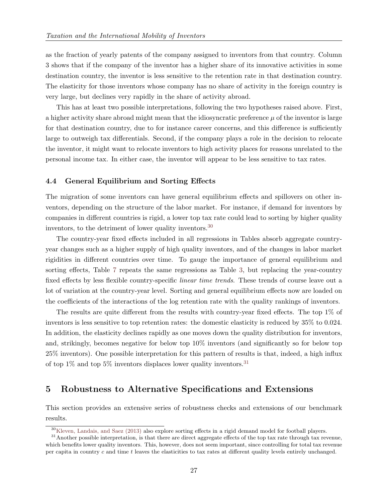as the fraction of yearly patents of the company assigned to inventors from that country. Column 3 shows that if the company of the inventor has a higher share of its innovative activities in some destination country, the inventor is less sensitive to the retention rate in that destination country. The elasticity for those inventors whose company has no share of activity in the foreign country is very large, but declines very rapidly in the share of activity abroad.

This has at least two possible interpretations, following the two hypotheses raised above. First, a higher activity share abroad might mean that the idiosyncratic preference  $\mu$  of the inventor is large for that destination country, due to for instance career concerns, and this difference is sufficiently large to outweigh tax differentials. Second, if the company plays a role in the decision to relocate the inventor, it might want to relocate inventors to high activity places for reasons unrelated to the personal income tax. In either case, the inventor will appear to be less sensitive to tax rates.

#### <span id="page-28-1"></span>4.4 General Equilibrium and Sorting Effects

The migration of some inventors can have general equilibrium effects and spillovers on other inventors, depending on the structure of the labor market. For instance, if demand for inventors by companies in different countries is rigid, a lower top tax rate could lead to sorting by higher quality inventors, to the detriment of lower quality inventors.[30](#page-1-0)

The country-year fixed effects included in all regressions in Tables absorb aggregate countryyear changes such as a higher supply of high quality inventors, and of the changes in labor market rigidities in different countries over time. To gauge the importance of general equilibrium and sorting effects, Table [7](#page-29-0) repeats the same regressions as Table [3,](#page-24-0) but replacing the year-country fixed effects by less flexible country-specific linear time trends. These trends of course leave out a lot of variation at the country-year level. Sorting and general equilibrium effects now are loaded on the coefficients of the interactions of the log retention rate with the quality rankings of inventors.

The results are quite different from the results with country-year fixed effects. The top 1% of inventors is less sensitive to top retention rates: the domestic elasticity is reduced by 35% to 0.024. In addition, the elasticity declines rapidly as one moves down the quality distribution for inventors, and, strikingly, becomes negative for below top 10% inventors (and significantly so for below top 25% inventors). One possible interpretation for this pattern of results is that, indeed, a high influx of top  $1\%$  and top  $5\%$  inventors displaces lower quality inventors.<sup>[31](#page-1-0)</sup>

## <span id="page-28-0"></span>5 Robustness to Alternative Specifications and Extensions

This section provides an extensive series of robustness checks and extensions of our benchmark results.

<sup>&</sup>lt;sup>30</sup>[Kleven, Landais, and Saez \(2013\)](#page-37-0) also explore sorting effects in a rigid demand model for football players.

 $31$ Another possible interpretation, is that there are direct aggregate effects of the top tax rate through tax revenue, which benefits lower quality inventors. This, however, does not seem important, since controlling for total tax revenue per capita in country c and time t leaves the elasticities to tax rates at different quality levels entirely unchanged.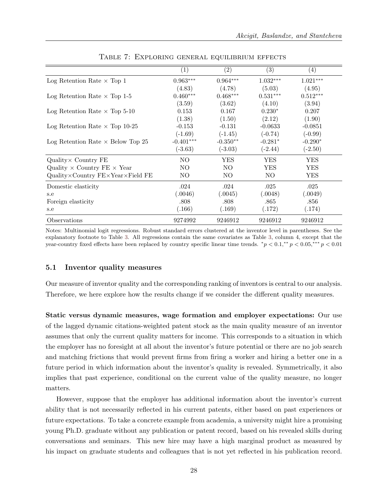<span id="page-29-0"></span>

|                                                           | (1)         | $\left( 2\right)$ | (3)        | $\left( 4\right)$ |
|-----------------------------------------------------------|-------------|-------------------|------------|-------------------|
| Log Retention Rate $\times$ Top 1                         | $0.963***$  | $0.964***$        | $1.032***$ | $1.021***$        |
|                                                           | (4.83)      | (4.78)            | (5.03)     | (4.95)            |
| Log Retention Rate $\times$ Top 1-5                       | $0.460***$  | $0.468***$        | $0.531***$ | $0.512***$        |
|                                                           | (3.59)      | (3.62)            | (4.10)     | (3.94)            |
| Log Retention Rate $\times$ Top 5-10                      | 0.153       | 0.167             | $0.230*$   | 0.207             |
|                                                           | (1.38)      | (1.50)            | (2.12)     | (1.90)            |
| Log Retention Rate $\times$ Top 10-25                     | $-0.153$    | $-0.131$          | $-0.0633$  | $-0.0851$         |
|                                                           | $(-1.69)$   | $(-1.45)$         | $(-0.74)$  | $(-0.99)$         |
| Log Retention Rate $\times$ Below Top 25                  | $-0.401***$ | $-0.350**$        | $-0.281*$  | $-0.290*$         |
|                                                           | $(-3.63)$   | $(-3.03)$         | $(-2.44)$  | $(-2.50)$         |
| $\text{Quality} \times \text{Country FE}$                 | NO.         | YES               | YES        | YES               |
| Quality $\times$ Country FE $\times$ Year                 | NO.         | NO.               | YES        | YES               |
| Quality $\times$ Country $FE \times Year \times Field$ FE | NO.         | NO.               | NO.        | YES               |
| Domestic elasticity                                       | .024        | .024              | .025       | .025              |
| s.e                                                       | (.0046)     | (.0045)           | (.0048)    | (.0049)           |
| Foreign elasticity                                        | .808        | .808              | .865       | .856              |
| s.e                                                       | (.166)      | (.169)            | (.172)     | (.174)            |
| Observations                                              | 9274992     | 9246912           | 9246912    | 9246912           |

Table 7: Exploring general equilibrium effects

Notes: Multinomial logit regressions. Robust standard errors clustered at the inventor level in parentheses. See the explanatory footnote to Table [3.](#page-24-0) All regressions contain the same covariates as Table [3,](#page-24-0) column 4, except that the year-country fixed effects have been replaced by country specific linear time trends.  $^*p < 0.1, ^{**}p < 0.05, ^{***}p < 0.01$ 

#### <span id="page-29-1"></span>5.1 Inventor quality measures

Our measure of inventor quality and the corresponding ranking of inventors is central to our analysis. Therefore, we here explore how the results change if we consider the different quality measures.

Static versus dynamic measures, wage formation and employer expectations: Our use of the lagged dynamic citations-weighted patent stock as the main quality measure of an inventor assumes that only the current quality matters for income. This corresponds to a situation in which the employer has no foresight at all about the inventor's future potential or there are no job search and matching frictions that would prevent firms from firing a worker and hiring a better one in a future period in which information about the inventor's quality is revealed. Symmetrically, it also implies that past experience, conditional on the current value of the quality measure, no longer matters.

However, suppose that the employer has additional information about the inventor's current ability that is not necessarily reflected in his current patents, either based on past experiences or future expectations. To take a concrete example from academia, a university might hire a promising young Ph.D. graduate without any publication or patent record, based on his revealed skills during conversations and seminars. This new hire may have a high marginal product as measured by his impact on graduate students and colleagues that is not yet reflected in his publication record.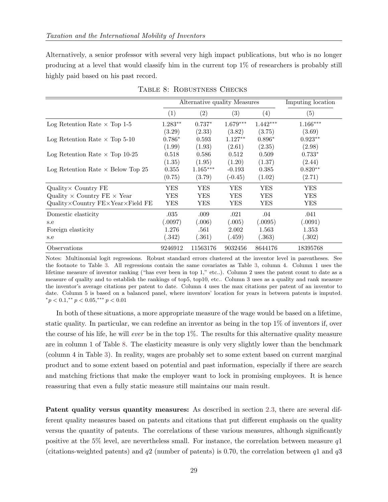Alternatively, a senior professor with several very high impact publications, but who is no longer producing at a level that would classify him in the current top 1% of researchers is probably still highly paid based on his past record.

<span id="page-30-0"></span>

|                                                           |                   | Alternative quality Measures |                   | Imputing location |            |
|-----------------------------------------------------------|-------------------|------------------------------|-------------------|-------------------|------------|
|                                                           | $\left( 1\right)$ | $\left( 2\right)$            | $\left( 3\right)$ | (4)               | (5)        |
| Log Retention Rate $\times$ Top 1-5                       | $1.283**$         | $0.737*$                     | $1.679***$        | $1.442***$        | $1.166***$ |
|                                                           | (3.29)            | (2.33)                       | (3.82)            | (3.75)            | (3.69)     |
| Log Retention Rate $\times$ Top 5-10                      | $0.786*$          | 0.593                        | $1.127**$         | $0.896*$          | $0.923**$  |
|                                                           | (1.99)            | (1.93)                       | (2.61)            | (2.35)            | (2.98)     |
| Log Retention Rate $\times$ Top 10-25                     | 0.518             | 0.586                        | 0.512             | 0.509             | $0.733*$   |
|                                                           | (1.35)            | (1.95)                       | (1.20)            | (1.37)            | (2.44)     |
| Log Retention Rate $\times$ Below Top 25                  | 0.355             | $1.165***$                   | $-0.193$          | 0.385             | $0.820**$  |
|                                                           | (0.75)            | (3.79)                       | $(-0.45)$         | (1.02)            | (2.71)     |
| $\text{Quality} \times \text{Country FE}$                 | YES               | YES                          | YES               | YES               | YES        |
| Quality $\times$ Country FE $\times$ Year                 | YES               | YES                          | YES               | YES               | <b>YES</b> |
| Quality $\times$ Country $FE \times Year \times Field$ FE | YES               | YES                          | YES               | YES               | YES        |
| Domestic elasticity                                       | .035              | .009                         | .021              | .04               | .041       |
| s.e                                                       | (.0097)           | (.006)                       | 0.005             | (.0095)           | (.0091)    |
| Foreign elasticity                                        | 1.276             | .561                         | 2.002             | 1.563             | 1.353      |
| s.e                                                       | (.342)            | .361)                        | (.459)            | (.363)            | (.302)     |
| Observations                                              | 9246912           | 11563176                     | 9032456           | 8644176           | 18395768   |

Table 8: Robustness Checks

Notes: Multinomial logit regressions. Robust standard errors clustered at the inventor level in parentheses. See the footnote to Table [3.](#page-24-0) All regressions contain the same covariates as Table [3,](#page-24-0) column 4. Column 1 uses the lifetime measure of inventor ranking ("has ever been in top 1," etc..). Column 2 uses the patent count to date as a measure of quality and to establish the rankings of top5, top10, etc.. Column 3 uses as a quality and rank measure the inventor's average citations per patent to date. Column 4 uses the max citations per patent of an inventor to date. Column 5 is based on a balanced panel, where inventors' location for years in between patents is imputed.  ${}^*p < 0.1, {}^{**}p < 0.05, {}^{***}p < 0.01$ 

In both of these situations, a more appropriate measure of the wage would be based on a lifetime, static quality. In particular, we can redefine an inventor as being in the top 1% of inventors if, over the course of his life, he will ever be in the top 1%. The results for this alternative quality measure are in column 1 of Table [8.](#page-30-0) The elasticity measure is only very slightly lower than the benchmark (column 4 in Table [3\)](#page-24-0). In reality, wages are probably set to some extent based on current marginal product and to some extent based on potential and past information, especially if there are search and matching frictions that make the employer want to lock in promising employees. It is hence reassuring that even a fully static measure still maintains our main result.

Patent quality versus quantity measures: As described in section [2.3,](#page-9-0) there are several different quality measures based on patents and citations that put different emphasis on the quality versus the quantity of patents. The correlations of these various measures, although significantly positive at the  $5\%$  level, are nevertheless small. For instance, the correlation between measure  $q1$ (citations-weighted patents) and  $q2$  (number of patents) is 0.70, the correlation between  $q1$  and  $q3$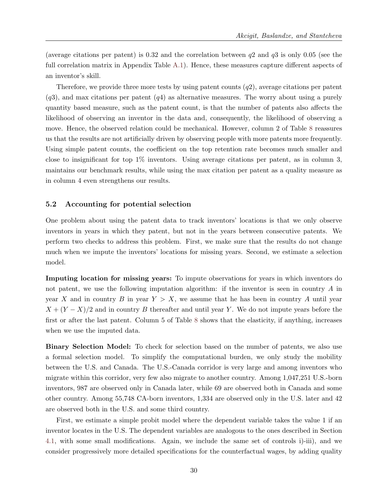(average citations per patent) is 0.32 and the correlation between  $q2$  and  $q3$  is only 0.05 (see the full correlation matrix in Appendix Table [A.1\)](#page-40-0). Hence, these measures capture different aspects of an inventor's skill.

Therefore, we provide three more tests by using patent counts  $(q2)$ , average citations per patent  $(q3)$ , and max citations per patent  $(q4)$  as alternative measures. The worry about using a purely quantity based measure, such as the patent count, is that the number of patents also affects the likelihood of observing an inventor in the data and, consequently, the likelihood of observing a move. Hence, the observed relation could be mechanical. However, column 2 of Table [8](#page-30-0) reassures us that the results are not artificially driven by observing people with more patents more frequently. Using simple patent counts, the coefficient on the top retention rate becomes much smaller and close to insignificant for top 1% inventors. Using average citations per patent, as in column 3, maintains our benchmark results, while using the max citation per patent as a quality measure as in column 4 even strengthens our results.

#### 5.2 Accounting for potential selection

One problem about using the patent data to track inventors' locations is that we only observe inventors in years in which they patent, but not in the years between consecutive patents. We perform two checks to address this problem. First, we make sure that the results do not change much when we impute the inventors' locations for missing years. Second, we estimate a selection model.

Imputing location for missing years: To impute observations for years in which inventors do not patent, we use the following imputation algorithm: if the inventor is seen in country  $A$  in year X and in country B in year  $Y > X$ , we assume that he has been in country A until year  $X + (Y - X)/2$  and in country B thereafter and until year Y. We do not impute years before the first or after the last patent. Column 5 of Table [8](#page-30-0) shows that the elasticity, if anything, increases when we use the imputed data.

Binary Selection Model: To check for selection based on the number of patents, we also use a formal selection model. To simplify the computational burden, we only study the mobility between the U.S. and Canada. The U.S.-Canada corridor is very large and among inventors who migrate within this corridor, very few also migrate to another country. Among 1,047,251 U.S.-born inventors, 987 are observed only in Canada later, while 69 are observed both in Canada and some other country. Among 55,748 CA-born inventors, 1,334 are observed only in the U.S. later and 42 are observed both in the U.S. and some third country.

First, we estimate a simple probit model where the dependent variable takes the value 1 if an inventor locates in the U.S. The dependent variables are analogous to the ones described in Section [4.1,](#page-20-1) with some small modifications. Again, we include the same set of controls i)-iii), and we consider progressively more detailed specifications for the counterfactual wages, by adding quality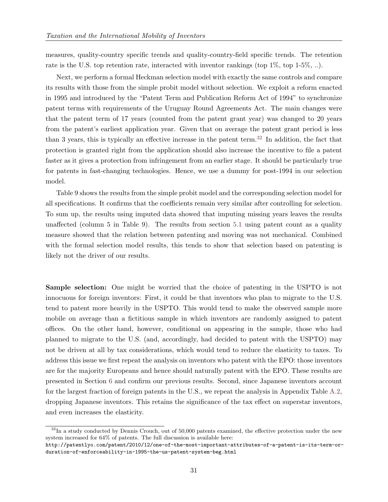measures, quality-country specific trends and quality-country-field specific trends. The retention rate is the U.S. top retention rate, interacted with inventor rankings (top 1\%, top 1-5\%, ..).

Next, we perform a formal Heckman selection model with exactly the same controls and compare its results with those from the simple probit model without selection. We exploit a reform enacted in 1995 and introduced by the "Patent Term and Publication Reform Act of 1994" to synchronize patent terms with requirements of the Uruguay Round Agreements Act. The main changes were that the patent term of 17 years (counted from the patent grant year) was changed to 20 years from the patent's earliest application year. Given that on average the patent grant period is less than 3 years, this is typically an effective increase in the patent term.<sup>[32](#page-1-0)</sup> In addition, the fact that protection is granted right from the application should also increase the incentive to file a patent faster as it gives a protection from infringement from an earlier stage. It should be particularly true for patents in fast-changing technologies. Hence, we use a dummy for post-1994 in our selection model.

Table 9 shows the results from the simple probit model and the corresponding selection model for all specifications. It confirms that the coefficients remain very similar after controlling for selection. To sum up, the results using imputed data showed that imputing missing years leaves the results unaffected (column 5 in Table 9). The results from section [5.1](#page-29-1) using patent count as a quality measure showed that the relation between patenting and moving was not mechanical. Combined with the formal selection model results, this tends to show that selection based on patenting is likely not the driver of our results.

Sample selection: One might be worried that the choice of patenting in the USPTO is not innocuous for foreign inventors: First, it could be that inventors who plan to migrate to the U.S. tend to patent more heavily in the USPTO. This would tend to make the observed sample more mobile on average than a fictitious sample in which inventors are randomly assigned to patent offices. On the other hand, however, conditional on appearing in the sample, those who had planned to migrate to the U.S. (and, accordingly, had decided to patent with the USPTO) may not be driven at all by tax considerations, which would tend to reduce the elasticity to taxes. To address this issue we first repeat the analysis on inventors who patent with the EPO: those inventors are for the majority Europeans and hence should naturally patent with the EPO. These results are presented in Section [6](#page-34-0) and confirm our previous results. Second, since Japanese inventors account for the largest fraction of foreign patents in the U.S., we repeat the analysis in Appendix Table [A.2,](#page-40-1) dropping Japanese inventors. This retains the significance of the tax effect on superstar inventors, and even increases the elasticity.

<sup>&</sup>lt;sup>32</sup>In a study conducted by Dennis Crouch, out of 50,000 patents examined, the effective protection under the new system increased for 64% of patents. The full discussion is available here:

http://patentlyo.com/patent/2010/12/one-of-the-most-important-attributes-of-a-patent-is-its-term-orduration-of-enforceability-in-1995-the-us-patent-system-beg.html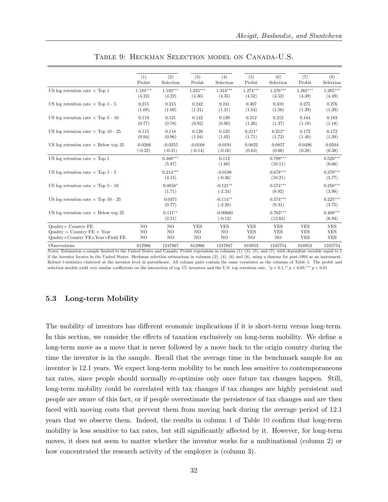|                                             | (1)        | (2)                  | (3)        | (4)                     | (5)        | (6)                   | (7)        | (8)                  |
|---------------------------------------------|------------|----------------------|------------|-------------------------|------------|-----------------------|------------|----------------------|
|                                             | Probit     | Selection            | Probit     | Selection               | Probit     | Selection             | Probit     | Selection            |
| US log retention rate $\times$ Top 1        | $1.184***$ | $1.182***$           | $1.225***$ | $1.224***$              | $1.274***$ | $1.276***$            | $1.265***$ | $1.265***$           |
|                                             | (4.23)     | (4.22)               | (4.36)     | (4.35)                  | (4.52)     | (4.52)                | (4.49)     | (4.49)               |
| US log retention rate $\times$ Top 1 - 5    | 0.215      | 0.215                | 0.242      | 0.241                   | 0.307      | 0.310                 | 0.275      | 0.276                |
|                                             | (1.08)     | (1.08)               | (1.21)     | (1.21)                  | (1.54)     | (1.56)                | (1.39)     | (1.39)               |
| US log retention rate $\times$ Top 5 - 10   | 0.119      | 0.121                | 0.142      | 0.139                   | 0.212      | 0.212                 | 0.184      | 0.183                |
|                                             | (0.77)     | (0.78)               | (0.92)     | (0.90)                  | (1.36)     | (1.37)                | (1.18)     | (1.18)               |
| US log retention rate $\times$ Top 10 - 25  | 0.115      | 0.118                | 0.128      | 0.125                   | $0.211*$   | $0.212*$              | 0.172      | 0.172                |
|                                             | (0.94)     | (0.96)               | (1.04)     | (1.02)                  | (1.71)     | (1.72)                | (1.40)     | (1.39)               |
| US log retention rate $\times$ Below top 25 | $-0.0266$  | $-0.0255$            | $-0.0168$  | $-0.0191$               | 0.0822     | 0.0857                | 0.0496     | 0.0504               |
|                                             | $(-0.22)$  | $(-0.21)$            | $(-0.14)$  | $(-0.16)$               | (0.63)     | (0.66)                | (0.38)     | (0.38)               |
| US log retention rate $\times$ Top 1        |            | $0.388***$<br>(5.87) |            | 0.112<br>(1.60)         |            | $0.799***$<br>(10.11) |            | $0.528***$<br>(6.66) |
| US log retention rate $\times$ Top 1 - 5    |            | $0.214***$<br>(4.15) |            | $-0.0198$<br>$(-0.36)$  |            | $0.678***$<br>(10.21) |            | $0.378***$<br>(5.77) |
| US log retention rate $\times$ Top 5 - 10   |            | $0.0858*$<br>(1.71)  |            | $-0.121**$<br>$(-2.24)$ |            | $0.574***$<br>(8.92)  |            | $0.250***$<br>(3.98) |
| US log retention rate $\times$ Top 10 - 25  |            | 0.0371<br>(0.77)     |            | $-0.114**$<br>$(-2.20)$ |            | $0.574***$<br>(9.31)  |            | $0.225***$<br>(3.75) |
| US log retention rate $\times$ Below top 25 |            | $0.111**$<br>(2.31)  |            | $-0.00660$<br>$(-0.13)$ |            | $0.763***$<br>(12.63) |            | $0.408***$<br>(6.94) |
| Quality× Country FE                         | NO         | NO.                  | <b>YES</b> | <b>YES</b>              | <b>YES</b> | <b>YES</b>            | <b>YES</b> | <b>YES</b>           |
| Quality $\times$ Country FE $\times$ Year   | NO         | NO                   | NO         | NO                      | <b>YES</b> | <b>YES</b>            | <b>YES</b> | <b>YES</b>           |
| Quality×Country FE×Year×Field FE            | NO         | NO.                  | NO.        | NO                      | NO.        | NO.                   | <b>YES</b> | <b>YES</b>           |
| Observations                                | 612966     | 1247867              | 612966     | 1247867                 | 610853     | 1245754               | 610853     | 1245754              |

Table 9: Heckman Selection model on Canada-U.S. Table 9: Heckman Selection model on Canada-U.S.

Notes: Estimation a sample limited to the United States and Canada. Probit regressions in columns (1), (3), (5), and (7), with dependent variable equal to 1 if the inventor locates in the United States. Heckman selection estimations in columns (2), (4), (6) and (8), using a dummy for post-1994 as an instrument. Robust t-statistics clustered at the inventor level in parentheses. All column pairs contain the same covariates as the columns of Table 3. The probit and selection models yield very similar coefficients on the interaction of top 1% inventors and the U.S. top retention rate.  $\frac{*p}{0.1}$ ,  $\frac{*p}{0.05}$ ,  $\frac{*p}{0.01}$ 

#### <span id="page-33-0"></span>5.3 Long-term Mobility

The mobility of inventors has different economic implications if it is short-term versus long-term. In this section, we consider the effects of taxation exclusively on long-term mobility. We define a long-term move as a move that is never followed by a move back to the origin country during the time the inventor is in the sample. Recall that the average time in the benchmark sample for an inventor is 12.1 years. We expect long-term mobility to be much less sensitive to contemporaneous tax rates, since people should normally re-optimize only once future tax changes happen. Still, long-term mobility could be correlated with tax changes if tax changes are highly persistent and people are aware of this fact, or if people overestimate the persistence of tax changes and are then faced with moving costs that prevent them from moving back during the average period of 12.1 years that we observe them. Indeed, the results in column 1 of Table [10](#page-34-1) confirm that long-term mobility is less sensitive to tax rates, but still significantly affected by it. However, for long-term moves, it does not seem to matter whether the inventor works for a multinational (column 2) or how concentrated the research activity of the employer is (column 3).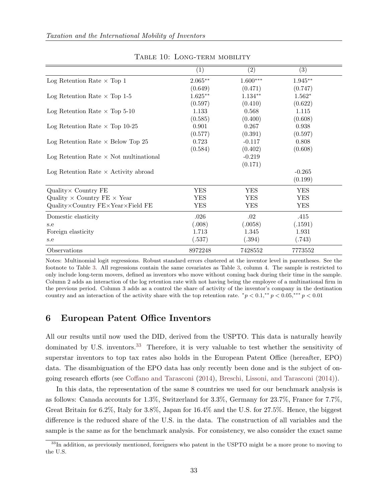<span id="page-34-1"></span>

|                                                  | (1)        | $\left( 2\right)$ | (3)        |
|--------------------------------------------------|------------|-------------------|------------|
| Log Retention Rate $\times$ Top 1                | $2.065**$  | $1.600***$        | $1.945**$  |
|                                                  | (0.649)    | (0.471)           | (0.747)    |
| Log Retention Rate $\times$ Top 1-5              | $1.625**$  | $1.134**$         | $1.562*$   |
|                                                  | (0.597)    | (0.410)           | (0.622)    |
| Log Retention Rate $\times$ Top 5-10             | 1.133      | 0.568             | 1.115      |
|                                                  | (0.585)    | (0.400)           | (0.608)    |
| Log Retention Rate $\times$ Top 10-25            | 0.901      | 0.267             | 0.938      |
|                                                  | (0.577)    | (0.391)           | (0.597)    |
| Log Retention Rate $\times$ Below Top 25         | 0.723      | $-0.117$          | 0.808      |
|                                                  | (0.584)    | (0.402)           | (0.608)    |
| Log Retention Rate $\times$ Not multinational    |            | $-0.219$          |            |
|                                                  |            | (0.171)           |            |
| Log Retention Rate $\times$ Activity abroad      |            |                   | $-0.265$   |
|                                                  |            |                   | (0.199)    |
| Quality $\times$ Country FE                      | YES        | <b>YES</b>        | <b>YES</b> |
| Quality $\times$ Country FE $\times$ Year        | <b>YES</b> | <b>YES</b>        | <b>YES</b> |
| Quality×Country $FE \times Year \times Field$ FE | YES        | YES               | YES        |
| Domestic elasticity                              | .026       | .02               | .415       |
| s.e                                              | (.008)     | (.0058)           | (.1591)    |
| Foreign elasticity                               | 1.713      | 1.345             | 1.931      |
| s.e                                              | (.537)     | (.394)            | (.743)     |
| Observations                                     | 8972248    | 7428552           | 7773552    |

TABLE 10: LONG-TERM MOBILITY

Notes: Multinomial logit regressions. Robust standard errors clustered at the inventor level in parentheses. See the footnote to Table [3.](#page-24-0) All regressions contain the same covariates as Table [3,](#page-24-0) column 4. The sample is restricted to only include long-term movers, defined as inventors who move without coming back during their time in the sample. Column 2 adds an interaction of the log retention rate with not having being the employee of a multinational firm in the previous period. Column 3 adds as a control the share of activity of the inventor's company in the destination country and an interaction of the activity share with the top retention rate.  $^*p < 0.1, ^{**}p < 0.05, ^{***}p < 0.01$ 

## <span id="page-34-0"></span>6 European Patent Office Inventors

All our results until now used the DID, derived from the USPTO. This data is naturally heavily dominated by U.S. inventors.<sup>[33](#page-1-0)</sup> Therefore, it is very valuable to test whether the sensitivity of superstar inventors to top tax rates also holds in the European Patent Office (hereafter, EPO) data. The disambiguation of the EPO data has only recently been done and is the subject of ongoing research efforts (see [Coffano and Tarasconi](#page-37-1) [\(2014\)](#page-37-1), [Breschi, Lissoni, and Tarasconi \(2014\)\)](#page-37-4).

In this data, the representation of the same 8 countries we used for our benchmark analysis is as follows: Canada accounts for 1.3%, Switzerland for 3.3%, Germany for 23.7%, France for 7.7%, Great Britain for 6.2%, Italy for 3.8%, Japan for 16.4% and the U.S. for 27.5%. Hence, the biggest difference is the reduced share of the U.S. in the data. The construction of all variables and the sample is the same as for the benchmark analysis. For consistency, we also consider the exact same

<sup>&</sup>lt;sup>33</sup>In addition, as previously mentioned, foreigners who patent in the USPTO might be a more prone to moving to the U.S.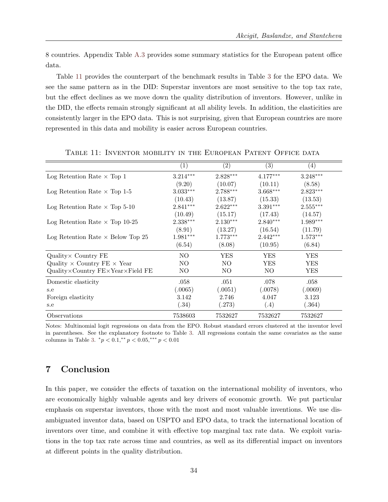8 countries. Appendix Table [A.3](#page-41-0) provides some summary statistics for the European patent office data.

Table [11](#page-35-1) provides the counterpart of the benchmark results in Table [3](#page-24-0) for the EPO data. We see the same pattern as in the DID: Superstar inventors are most sensitive to the top tax rate, but the effect declines as we move down the quality distribution of inventors. However, unlike in the DID, the effects remain strongly significant at all ability levels. In addition, the elasticities are consistently larger in the EPO data. This is not surprising, given that European countries are more represented in this data and mobility is easier across European countries.

<span id="page-35-1"></span>

|                                                           | $\left( 1\right)$ | (2)        | (3)        | $\left( 4\right)$      |
|-----------------------------------------------------------|-------------------|------------|------------|------------------------|
| Log Retention Rate $\times$ Top 1                         | $3.214***$        | $2.828***$ | $4.177***$ | $3.248***$             |
|                                                           | (9.20)            | (10.07)    | (10.11)    | (8.58)                 |
| Log Retention Rate $\times$ Top 1-5                       | $3.033***$        | 2.788***   | $3.668***$ | 2.823***               |
|                                                           | (10.43)           | (13.87)    | (15.33)    | (13.53)                |
| Log Retention Rate $\times$ Top 5-10                      | $2.841***$        | $2.622***$ | $3.391***$ | $2.555^{\ast\ast\ast}$ |
|                                                           | (10.49)           | (15.17)    | (17.43)    | (14.57)                |
| Log Retention Rate $\times$ Top 10-25                     | $2.338***$        | $2.130***$ | $2.840***$ | $1.989***$             |
|                                                           | (8.91)            | (13.27)    | (16.54)    | (11.79)                |
| Log Retention Rate $\times$ Below Top 25                  | $1.981***$        | $1.773***$ | $2.442***$ | $1.573***$             |
|                                                           | (6.54)            | (8.08)     | (10.95)    | (6.84)                 |
| $\text{Quality} \times \text{Country FE}$                 | NO                | YES        | YES        | YES                    |
| Quality $\times$ Country FE $\times$ Year                 | NO.               | NO.        | YES        | YES                    |
| Quality $\times$ Country $FE \times Year \times Field$ FE | NO.               | NO.        | NO.        | <b>YES</b>             |
| Domestic elasticity                                       | .058              | .051       | .078       | .058                   |
| s.e                                                       | (.0065)           | (.0051)    | (.0078)    | (.0069)                |
| Foreign elasticity                                        | 3.142             | 2.746      | 4.047      | 3.123                  |
| s.e                                                       | (.34)             | (.273)     | (.4)       | (.364)                 |
| Observations                                              | 7538603           | 7532627    | 7532627    | 7532627                |

Table 11: Inventor mobility in the European Patent Office data

Notes: Multinomial logit regressions on data from the EPO. Robust standard errors clustered at the inventor level in parentheses. See the explanatory footnote to Table [3.](#page-24-0) All regressions contain the same covariates as the same columns in Table [3.](#page-24-0)  $^*p < 0.1, ^{**}p < 0.05, ^{***}p < 0.01$ 

## <span id="page-35-0"></span>7 Conclusion

In this paper, we consider the effects of taxation on the international mobility of inventors, who are economically highly valuable agents and key drivers of economic growth. We put particular emphasis on superstar inventors, those with the most and most valuable inventions. We use disambiguated inventor data, based on USPTO and EPO data, to track the international location of inventors over time, and combine it with effective top marginal tax rate data. We exploit variations in the top tax rate across time and countries, as well as its differential impact on inventors at different points in the quality distribution.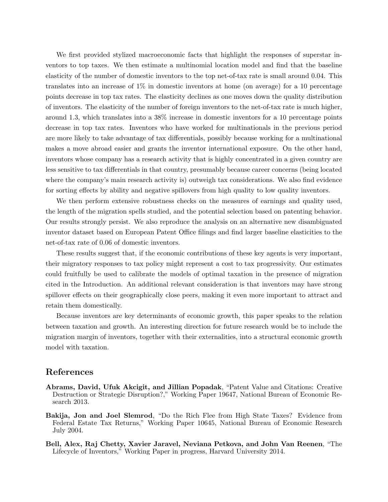We first provided stylized macroeconomic facts that highlight the responses of superstar inventors to top taxes. We then estimate a multinomial location model and find that the baseline elasticity of the number of domestic inventors to the top net-of-tax rate is small around 0.04. This translates into an increase of 1% in domestic inventors at home (on average) for a 10 percentage points decrease in top tax rates. The elasticity declines as one moves down the quality distribution of inventors. The elasticity of the number of foreign inventors to the net-of-tax rate is much higher, around 1.3, which translates into a 38% increase in domestic inventors for a 10 percentage points decrease in top tax rates. Inventors who have worked for multinationals in the previous period are more likely to take advantage of tax differentials, possibly because working for a multinational makes a move abroad easier and grants the inventor international exposure. On the other hand, inventors whose company has a research activity that is highly concentrated in a given country are less sensitive to tax differentials in that country, presumably because career concerns (being located where the company's main research activity is) outweigh tax considerations. We also find evidence for sorting effects by ability and negative spillovers from high quality to low quality inventors.

We then perform extensive robustness checks on the measures of earnings and quality used, the length of the migration spells studied, and the potential selection based on patenting behavior. Our results strongly persist. We also reproduce the analysis on an alternative new disambiguated inventor dataset based on European Patent Office filings and find larger baseline elasticities to the net-of-tax rate of 0.06 of domestic inventors.

These results suggest that, if the economic contributions of these key agents is very important, their migratory responses to tax policy might represent a cost to tax progressivity. Our estimates could fruitfully be used to calibrate the models of optimal taxation in the presence of migration cited in the Introduction. An additional relevant consideration is that inventors may have strong spillover effects on their geographically close peers, making it even more important to attract and retain them domestically.

Because inventors are key determinants of economic growth, this paper speaks to the relation between taxation and growth. An interesting direction for future research would be to include the migration margin of inventors, together with their externalities, into a structural economic growth model with taxation.

## References

- <span id="page-36-1"></span>Abrams, David, Ufuk Akcigit, and Jillian Popadak, "Patent Value and Citations: Creative Destruction or Strategic Disruption?," Working Paper 19647, National Bureau of Economic Research 2013.
- <span id="page-36-2"></span>Bakija, Jon and Joel Slemrod, "Do the Rich Flee from High State Taxes? Evidence from Federal Estate Tax Returns," Working Paper 10645, National Bureau of Economic Research July 2004.
- <span id="page-36-0"></span>Bell, Alex, Raj Chetty, Xavier Jaravel, Neviana Petkova, and John Van Reenen, "The Lifecycle of Inventors," Working Paper in progress, Harvard University 2014.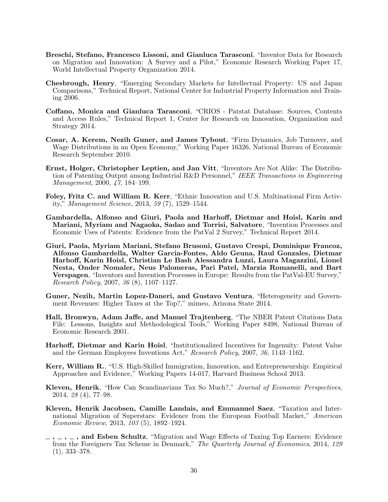- <span id="page-37-4"></span>Breschi, Stefano, Francesco Lissoni, and Gianluca Tarasconi, "Inventor Data for Research on Migration and Innovation: A Survey and a Pilot," Economic Research Working Paper 17, World Intellectual Property Organization 2014.
- <span id="page-37-9"></span>Chesbrough, Henry, "Emerging Secondary Markets for Intellectual Property: US and Japan Comparisons," Technical Report, National Center for Industrial Property Information and Training 2006.
- <span id="page-37-1"></span>Coffano, Monica and Gianluca Tarasconi, "CRIOS - Patstat Database: Sources, Contents and Access Rules," Technical Report 1, Center for Research on Innovation, Organization and Strategy 2014.
- <span id="page-37-6"></span>Cosar, A. Kerem, Nezih Guner, and James Tybout, "Firm Dynamics, Job Turnover, and Wage Distributions in an Open Economy," Working Paper 16326, National Bureau of Economic Research September 2010.
- <span id="page-37-11"></span>Ernst, Holger, Christopher Leptien, and Jan Vitt, "Inventors Are Not Alike: The Distribution of Patenting Output among Industrial R&D Personnel," IEEE Transactions in Engineering Management, 2000, 47, 184–199.
- <span id="page-37-3"></span>Foley, Fritz C. and William R. Kerr, "Ethnic Innovation and U.S. Multinational Firm Activity," Management Science, 2013, 59 (7), 1529–1544.
- <span id="page-37-13"></span>Gambardella, Alfonso and Giuri, Paola and Harhoff, Dietmar and Hoisl, Karin and Mariani, Myriam and Nagaoka, Sadao and Torrisi, Salvatore, "Invention Processes and Economic Uses of Patents: Evidence from the PatVal 2 Survey," Technical Report 2014.
- <span id="page-37-12"></span>Giuri, Paola, Myriam Mariani, Stefano Brusoni, Gustavo Crespi, Dominique Francoz, Alfonso Gambardella, Walter Garcia-Fontes, Aldo Geuna, Raul Gonzales, Dietmar Harhoff, Karin Hoisl, Christian Le Bash Alessandra Luzzi, Laura Magazzini, Lionel Nesta, Onder Nomaler, Neus Palomeras, Pari Patel, Marzia Romanelli, and Bart Verspagen, "Inventors and Invention Processes in Europe: Results from the PatVal-EU Survey," Research Policy, 2007, 36 (8), 1107–1127.
- <span id="page-37-7"></span>Guner, Nezih, Martin Lopez-Daneri, and Gustavo Ventura, "Heterogeneity and Government Revenues: Higher Taxes at the Top?," mimeo, Arizona State 2014.
- <span id="page-37-8"></span>Hall, Bronwyn, Adam Jaffe, and Manuel Trajtenberg, "The NBER Patent Citations Data File: Lessons, Insights and Methodological Tools," Working Paper 8498, National Bureau of Economic Research 2001.
- <span id="page-37-10"></span>Harhoff, Dietmar and Karin Hoisl, "Institutionalized Incentives for Ingenuity: Patent Value and the German Employees Inventions Act," Research Policy, 2007, 36, 1143–1162.
- <span id="page-37-2"></span>Kerr, William R., "U.S. High-Skilled Immigration, Innovation, and Entrepreneurship: Empirical Approaches and Evidence," Working Papers 14-017, Harvard Business School 2013.
- <span id="page-37-14"></span>Kleven, Henrik, "How Can Scandinavians Tax So Much?," Journal of Economic Perspectives, 2014, 28 (4), 77–98.
- <span id="page-37-0"></span>Kleven, Henrik Jacobsen, Camille Landais, and Emmanuel Saez, "Taxation and International Migration of Superstars: Evidence from the European Football Market," American Economic Review, 2013, 103 (5), 1892–1924.
- <span id="page-37-5"></span> $\ldots$ ,  $\ldots$ , and Esben Schultz, "Migration and Wage Effects of Taxing Top Earners: Evidence from the Foreigners Tax Scheme in Denmark," The Quarterly Journal of Economics, 2014, 129 (1), 333–378.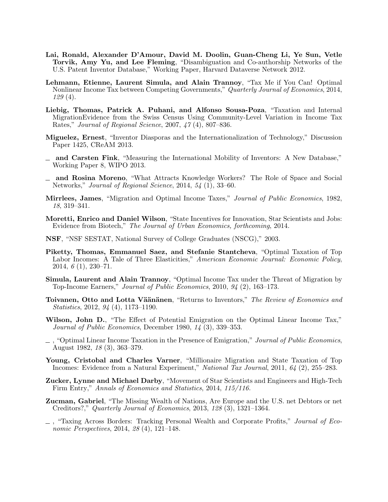- <span id="page-38-1"></span>Lai, Ronald, Alexander D'Amour, David M. Doolin, Guan-Cheng Li, Ye Sun, Vetle Torvik, Amy Yu, and Lee Fleming, "Disambiguation and Co-authorship Networks of the U.S. Patent Inventor Database," Working Paper, Harvard Dataverse Network 2012.
- <span id="page-38-14"></span>Lehmann, Etienne, Laurent Simula, and Alain Trannoy, "Tax Me if You Can! Optimal Nonlinear Income Tax between Competing Governments," Quarterly Journal of Economics, 2014, 129 (4).
- <span id="page-38-10"></span>Liebig, Thomas, Patrick A. Puhani, and Alfonso Sousa-Poza, "Taxation and Internal MigrationEvidence from the Swiss Census Using Community-Level Variation in Income Tax Rates," Journal of Regional Science, 2007, 47 (4), 807–836.
- <span id="page-38-4"></span>Miguelez, Ernest, "Inventor Diasporas and the Internationalization of Technology," Discussion Paper 1425, CReAM 2013.
- <span id="page-38-0"></span>and Carsten Fink, "Measuring the International Mobility of Inventors: A New Database," Working Paper 8, WIPO 2013.
- <span id="page-38-3"></span>and Rosina Moreno, "What Attracts Knowledge Workers? The Role of Space and Social Networks," Journal of Regional Science, 2014, 54 (1), 33–60.
- <span id="page-38-6"></span>Mirrlees, James, "Migration and Optimal Income Taxes," Journal of Public Economics, 1982, 18, 319–341.
- <span id="page-38-5"></span>Moretti, Enrico and Daniel Wilson, "State Incentives for Innovation, Star Scientists and Jobs: Evidence from Biotech," The Journal of Urban Economics, forthcoming, 2014.
- <span id="page-38-17"></span>NSF, "NSF SESTAT, National Survey of College Graduates (NSCG)," 2003.
- <span id="page-38-2"></span>Piketty, Thomas, Emmanuel Saez, and Stefanie Stantcheva, "Optimal Taxation of Top Labor Incomes: A Tale of Three Elasticities," American Economic Journal: Economic Policy, 2014, 6 (1), 230–71.
- <span id="page-38-13"></span>Simula, Laurent and Alain Trannoy, "Optimal Income Tax under the Threat of Migration by Top-Income Earners," Journal of Public Economics, 2010, 94 (2), 163–173.
- <span id="page-38-15"></span>Toivanen, Otto and Lotta Väänänen, "Returns to Inventors," The Review of Economics and Statistics, 2012, 94 (4), 1173–1190.
- <span id="page-38-7"></span>Wilson, John D., "The Effect of Potential Emigration on the Optimal Linear Income Tax," Journal of Public Economics, December 1980, 14 (3), 339–353.
- <span id="page-38-8"></span> $\Box$ , "Optimal Linear Income Taxation in the Presence of Emigration," Journal of Public Economics, August 1982, 18 (3), 363–379.
- <span id="page-38-9"></span>Young, Cristobal and Charles Varner, "Millionaire Migration and State Taxation of Top Incomes: Evidence from a Natural Experiment," National Tax Journal, 2011, 64 (2), 255–283.
- <span id="page-38-16"></span>Zucker, Lynne and Michael Darby, "Movement of Star Scientists and Engineers and High-Tech Firm Entry," Annals of Economics and Statistics, 2014, 115/116.
- <span id="page-38-11"></span>Zucman, Gabriel, "The Missing Wealth of Nations, Are Europe and the U.S. net Debtors or net Creditors?," Quarterly Journal of Economics, 2013, 128 (3), 1321–1364.
- <span id="page-38-12"></span><sub>-</sub>, "Taxing Across Borders: Tracking Personal Wealth and Corporate Profits," *Journal of Eco*nomic Perspectives, 2014, 28 (4), 121–148.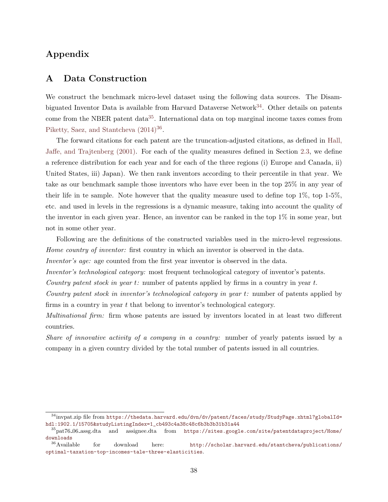## Appendix

## A Data Construction

We construct the benchmark micro-level dataset using the following data sources. The Disam-biguated Inventor Data is available from Harvard Dataverse Network<sup>[34](#page-1-0)</sup>. Other details on patents come from the NBER patent data[35](#page-1-0). International data on top marginal income taxes comes from Piketty, Saez, and Stantcheva  $(2014)^{36}$  $(2014)^{36}$  $(2014)^{36}$ .

The forward citations for each patent are the truncation-adjusted citations, as defined in [Hall,](#page-37-8) [Jaffe, and Trajtenberg \(2001\).](#page-37-8) For each of the quality measures defined in Section [2.3,](#page-9-0) we define a reference distribution for each year and for each of the three regions (i) Europe and Canada, ii) United States, iii) Japan). We then rank inventors according to their percentile in that year. We take as our benchmark sample those inventors who have ever been in the top 25% in any year of their life in te sample. Note however that the quality measure used to define top  $1\%$ , top  $1-5\%$ , etc. and used in levels in the regressions is a dynamic measure, taking into account the quality of the inventor in each given year. Hence, an inventor can be ranked in the top 1% in some year, but not in some other year.

Following are the definitions of the constructed variables used in the micro-level regressions. Home country of inventor: first country in which an inventor is observed in the data.

Inventor's age: age counted from the first year inventor is observed in the data.

Inventor's technological category: most frequent technological category of inventor's patents.

Country patent stock in year t: number of patents applied by firms in a country in year t.

Country patent stock in inventor's technological category in year t: number of patents applied by firms in a country in year t that belong to inventor's technological category.

Multinational firm: firm whose patents are issued by inventors located in at least two different countries.

Share of innovative activity of a company in a country: number of yearly patents issued by a company in a given country divided by the total number of patents issued in all countries.

 $34$ invpat.zip file from [https://thedata.harvard.edu/dvn/dv/patent/faces/study/StudyPage.xhtml?globalId=](https://thedata.harvard.edu/dvn/dv/patent/faces/study/StudyPage.xhtml?globalId=hdl:1902.1/15705&studyListingIndex=1_cb493c4a38c48c6b3b3b31b31a44) [hdl:1902.1/15705&studyListingIndex=1\\_cb493c4a38c48c6b3b3b31b31a44](https://thedata.harvard.edu/dvn/dv/patent/faces/study/StudyPage.xhtml?globalId=hdl:1902.1/15705&studyListingIndex=1_cb493c4a38c48c6b3b3b31b31a44)

<sup>35</sup>pat76 06 assg.dta and assignee.dta from [https://sites.google.com/site/patentdataproject/Home/](https://sites.google.com/site/patentdataproject/Home/downloads) [downloads](https://sites.google.com/site/patentdataproject/Home/downloads)<br><sup>36</sup> Available

for download here: [http://scholar.harvard.edu/stantcheva/publications/](http://scholar.harvard.edu/stantcheva/publications/optimal-taxation-top-incomes-tale-three-elasticities) [optimal-taxation-top-incomes-tale-three-elasticities](http://scholar.harvard.edu/stantcheva/publications/optimal-taxation-top-incomes-tale-three-elasticities).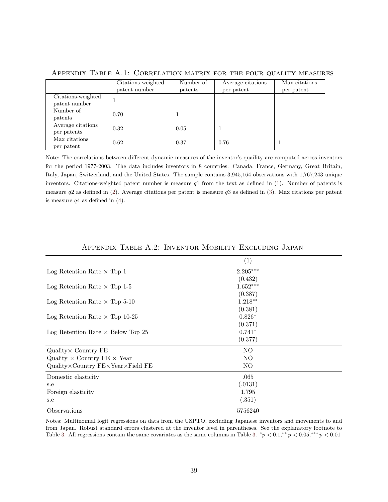|                                     | Citations-weighted<br>patent number | Number of<br>patents | Average citations<br>per patent | Max citations<br>per patent |
|-------------------------------------|-------------------------------------|----------------------|---------------------------------|-----------------------------|
| Citations-weighted<br>patent number |                                     |                      |                                 |                             |
| Number of<br>patents                | 0.70                                |                      |                                 |                             |
| Average citations<br>per patents    | 0.32                                | 0.05                 |                                 |                             |
| Max citations<br>per patent         | 0.62                                | 0.37                 | 0.76                            |                             |

<span id="page-40-0"></span>Appendix Table A.1: Correlation matrix for the four quality measures

Note: The correlations between different dynamic measures of the inventor's quaility are computed across inventors for the period 1977-2003. The data includes inventors in 8 countries: Canada, France, Germany, Great Britain, Italy, Japan, Switzerland, and the United States. The sample contains 3,945,164 observations with 1,767,243 unique inventors. Citations-weighted patent number is measure  $q1$  from the text as defined in  $(1)$ . Number of patents is measure  $q2$  as defined in [\(2\)](#page-11-2). Average citations per patent is measure  $q3$  as defined in [\(3\)](#page-11-3). Max citations per patent is measure  $q4$  as defined in [\(4\)](#page-11-1).

<span id="page-40-1"></span>

|                                                           | (1)            |  |
|-----------------------------------------------------------|----------------|--|
| Log Retention Rate $\times$ Top 1                         | $2.205***$     |  |
|                                                           | (0.432)        |  |
| Log Retention Rate $\times$ Top 1-5                       | $1.652***$     |  |
|                                                           | (0.387)        |  |
| Log Retention Rate $\times$ Top 5-10                      | $1.218**$      |  |
|                                                           | (0.381)        |  |
| Log Retention Rate $\times$ Top 10-25                     | $0.826*$       |  |
|                                                           | (0.371)        |  |
| Log Retention Rate $\times$ Below Top 25                  | $0.741*$       |  |
|                                                           | (0.377)        |  |
| $\mathrm{Quality} \times \mathrm{Country}$ FE             | NO             |  |
| Quality $\times$ Country FE $\times$ Year                 | NO             |  |
| Quality $\times$ Country $FE \times Year \times Field$ FE | N <sub>O</sub> |  |
| Domestic elasticity                                       | .065           |  |
| s.e                                                       | (.0131)        |  |
| Foreign elasticity                                        | 1.795          |  |
| s.e                                                       | (.351)         |  |
| Observations                                              | 5756240        |  |

#### Appendix Table A.2: Inventor Mobility Excluding Japan

Notes: Multinomial logit regressions on data from the USPTO, excluding Japanese inventors and movements to and from Japan. Robust standard errors clustered at the inventor level in parentheses. See the explanatory footnote to Table [3.](#page-24-0) All regressions contain the same covariates as the same columns in Table 3.  $^*p < 0.1, ^{**}p < 0.05, ^{***}p < 0.01$